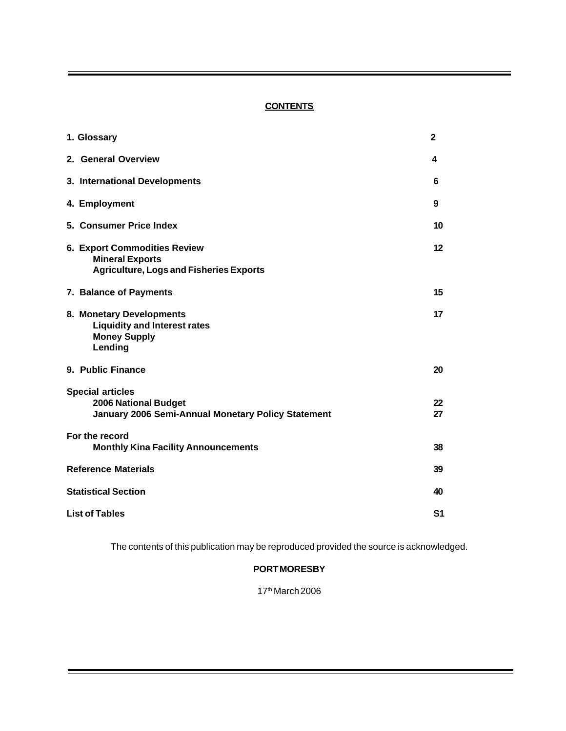# **CONTENTS**

| 1. Glossary                                                                                                     | $\mathbf{2}$   |
|-----------------------------------------------------------------------------------------------------------------|----------------|
| 2. General Overview                                                                                             | 4              |
| 3. International Developments                                                                                   | 6              |
| 4. Employment                                                                                                   | 9              |
| 5. Consumer Price Index                                                                                         | 10             |
| <b>6. Export Commodities Review</b><br><b>Mineral Exports</b><br><b>Agriculture, Logs and Fisheries Exports</b> | 12             |
| 7. Balance of Payments                                                                                          | 15             |
| 8. Monetary Developments<br><b>Liquidity and Interest rates</b><br><b>Money Supply</b><br>Lending               | 17             |
| 9. Public Finance                                                                                               | 20             |
| <b>Special articles</b><br><b>2006 National Budget</b><br>January 2006 Semi-Annual Monetary Policy Statement    | 22<br>27       |
| For the record<br><b>Monthly Kina Facility Announcements</b>                                                    | 38             |
| <b>Reference Materials</b>                                                                                      | 39             |
| <b>Statistical Section</b>                                                                                      | 40             |
| <b>List of Tables</b>                                                                                           | S <sub>1</sub> |

The contents of this publication may be reproduced provided the source is acknowledged.

# **PORT MORESBY**

17th March 2006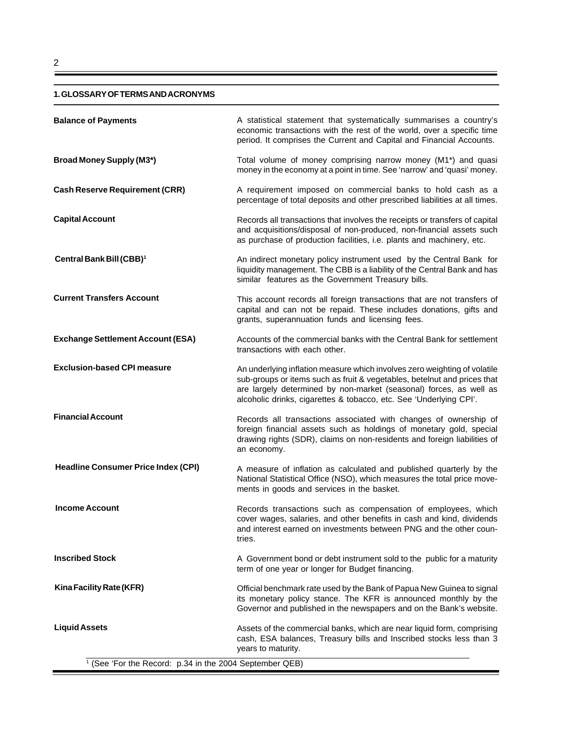#### **1. GLOSSARY OF TERMS AND ACRONYMS**

| <b>Broad Money Supply (M3*)</b><br>money in the economy at a point in time. See 'narrow' and 'quasi' money.<br><b>Cash Reserve Requirement (CRR)</b><br>A requirement imposed on commercial banks to hold cash as a<br>percentage of total deposits and other prescribed liabilities at all times.<br><b>Capital Account</b><br>and acquisitions/disposal of non-produced, non-financial assets such<br>as purchase of production facilities, i.e. plants and machinery, etc.<br>Central Bank Bill (CBB) <sup>1</sup><br>similar features as the Government Treasury bills.<br><b>Current Transfers Account</b><br>grants, superannuation funds and licensing fees.<br><b>Exchange Settlement Account (ESA)</b><br>transactions with each other.<br><b>Exclusion-based CPI measure</b><br>An underlying inflation measure which involves zero weighting of volatile<br>alcoholic drinks, cigarettes & tobacco, etc. See 'Underlying CPI'.<br><b>Financial Account</b><br>an economy.<br><b>Headline Consumer Price Index (CPI)</b><br>A measure of inflation as calculated and published quarterly by the<br>National Statistical Office (NSO), which measures the total price move-<br>ments in goods and services in the basket.<br><b>Income Account</b><br>cover wages, salaries, and other benefits in cash and kind, dividends<br>and interest earned on investments between PNG and the other coun-<br>tries.<br><b>Inscribed Stock</b><br>term of one year or longer for Budget financing.<br>Kina Facility Rate (KFR)<br>Official benchmark rate used by the Bank of Papua New Guinea to signal<br>its monetary policy stance. The KFR is announced monthly by the<br>Governor and published in the newspapers and on the Bank's website. | <b>Balance of Payments</b> | A statistical statement that systematically summarises a country's<br>economic transactions with the rest of the world, over a specific time<br>period. It comprises the Current and Capital and Financial Accounts. |
|----------------------------------------------------------------------------------------------------------------------------------------------------------------------------------------------------------------------------------------------------------------------------------------------------------------------------------------------------------------------------------------------------------------------------------------------------------------------------------------------------------------------------------------------------------------------------------------------------------------------------------------------------------------------------------------------------------------------------------------------------------------------------------------------------------------------------------------------------------------------------------------------------------------------------------------------------------------------------------------------------------------------------------------------------------------------------------------------------------------------------------------------------------------------------------------------------------------------------------------------------------------------------------------------------------------------------------------------------------------------------------------------------------------------------------------------------------------------------------------------------------------------------------------------------------------------------------------------------------------------------------------------------------------------------------------------------------------------------------------------------|----------------------------|----------------------------------------------------------------------------------------------------------------------------------------------------------------------------------------------------------------------|
|                                                                                                                                                                                                                                                                                                                                                                                                                                                                                                                                                                                                                                                                                                                                                                                                                                                                                                                                                                                                                                                                                                                                                                                                                                                                                                                                                                                                                                                                                                                                                                                                                                                                                                                                                    |                            | Total volume of money comprising narrow money (M1*) and quasi                                                                                                                                                        |
|                                                                                                                                                                                                                                                                                                                                                                                                                                                                                                                                                                                                                                                                                                                                                                                                                                                                                                                                                                                                                                                                                                                                                                                                                                                                                                                                                                                                                                                                                                                                                                                                                                                                                                                                                    |                            |                                                                                                                                                                                                                      |
|                                                                                                                                                                                                                                                                                                                                                                                                                                                                                                                                                                                                                                                                                                                                                                                                                                                                                                                                                                                                                                                                                                                                                                                                                                                                                                                                                                                                                                                                                                                                                                                                                                                                                                                                                    |                            | Records all transactions that involves the receipts or transfers of capital                                                                                                                                          |
|                                                                                                                                                                                                                                                                                                                                                                                                                                                                                                                                                                                                                                                                                                                                                                                                                                                                                                                                                                                                                                                                                                                                                                                                                                                                                                                                                                                                                                                                                                                                                                                                                                                                                                                                                    |                            | An indirect monetary policy instrument used by the Central Bank for<br>liquidity management. The CBB is a liability of the Central Bank and has                                                                      |
|                                                                                                                                                                                                                                                                                                                                                                                                                                                                                                                                                                                                                                                                                                                                                                                                                                                                                                                                                                                                                                                                                                                                                                                                                                                                                                                                                                                                                                                                                                                                                                                                                                                                                                                                                    |                            | This account records all foreign transactions that are not transfers of<br>capital and can not be repaid. These includes donations, gifts and                                                                        |
|                                                                                                                                                                                                                                                                                                                                                                                                                                                                                                                                                                                                                                                                                                                                                                                                                                                                                                                                                                                                                                                                                                                                                                                                                                                                                                                                                                                                                                                                                                                                                                                                                                                                                                                                                    |                            | Accounts of the commercial banks with the Central Bank for settlement                                                                                                                                                |
|                                                                                                                                                                                                                                                                                                                                                                                                                                                                                                                                                                                                                                                                                                                                                                                                                                                                                                                                                                                                                                                                                                                                                                                                                                                                                                                                                                                                                                                                                                                                                                                                                                                                                                                                                    |                            | sub-groups or items such as fruit & vegetables, betelnut and prices that<br>are largely determined by non-market (seasonal) forces, as well as                                                                       |
|                                                                                                                                                                                                                                                                                                                                                                                                                                                                                                                                                                                                                                                                                                                                                                                                                                                                                                                                                                                                                                                                                                                                                                                                                                                                                                                                                                                                                                                                                                                                                                                                                                                                                                                                                    |                            | Records all transactions associated with changes of ownership of<br>foreign financial assets such as holdings of monetary gold, special<br>drawing rights (SDR), claims on non-residents and foreign liabilities of  |
|                                                                                                                                                                                                                                                                                                                                                                                                                                                                                                                                                                                                                                                                                                                                                                                                                                                                                                                                                                                                                                                                                                                                                                                                                                                                                                                                                                                                                                                                                                                                                                                                                                                                                                                                                    |                            |                                                                                                                                                                                                                      |
|                                                                                                                                                                                                                                                                                                                                                                                                                                                                                                                                                                                                                                                                                                                                                                                                                                                                                                                                                                                                                                                                                                                                                                                                                                                                                                                                                                                                                                                                                                                                                                                                                                                                                                                                                    |                            | Records transactions such as compensation of employees, which                                                                                                                                                        |
|                                                                                                                                                                                                                                                                                                                                                                                                                                                                                                                                                                                                                                                                                                                                                                                                                                                                                                                                                                                                                                                                                                                                                                                                                                                                                                                                                                                                                                                                                                                                                                                                                                                                                                                                                    |                            | A Government bond or debt instrument sold to the public for a maturity                                                                                                                                               |
|                                                                                                                                                                                                                                                                                                                                                                                                                                                                                                                                                                                                                                                                                                                                                                                                                                                                                                                                                                                                                                                                                                                                                                                                                                                                                                                                                                                                                                                                                                                                                                                                                                                                                                                                                    |                            |                                                                                                                                                                                                                      |
| years to maturity.<br><sup>1</sup> (See 'For the Record: p.34 in the 2004 September QEB)                                                                                                                                                                                                                                                                                                                                                                                                                                                                                                                                                                                                                                                                                                                                                                                                                                                                                                                                                                                                                                                                                                                                                                                                                                                                                                                                                                                                                                                                                                                                                                                                                                                           | <b>Liquid Assets</b>       | Assets of the commercial banks, which are near liquid form, comprising<br>cash, ESA balances, Treasury bills and Inscribed stocks less than 3                                                                        |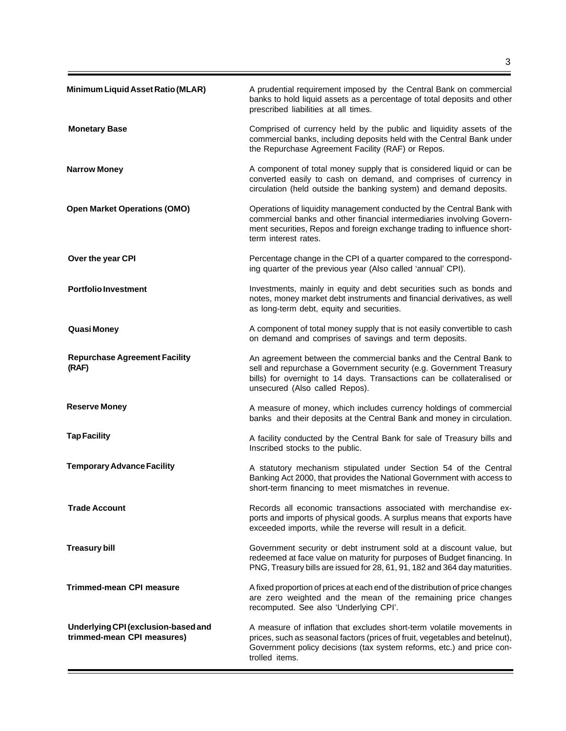| Minimum Liquid Asset Ratio (MLAR)                                 | A prudential requirement imposed by the Central Bank on commercial<br>banks to hold liquid assets as a percentage of total deposits and other<br>prescribed liabilities at all times.                                                                |
|-------------------------------------------------------------------|------------------------------------------------------------------------------------------------------------------------------------------------------------------------------------------------------------------------------------------------------|
| <b>Monetary Base</b>                                              | Comprised of currency held by the public and liquidity assets of the<br>commercial banks, including deposits held with the Central Bank under<br>the Repurchase Agreement Facility (RAF) or Repos.                                                   |
| <b>Narrow Money</b>                                               | A component of total money supply that is considered liquid or can be<br>converted easily to cash on demand, and comprises of currency in<br>circulation (held outside the banking system) and demand deposits.                                      |
| <b>Open Market Operations (OMO)</b>                               | Operations of liquidity management conducted by the Central Bank with<br>commercial banks and other financial intermediaries involving Govern-<br>ment securities, Repos and foreign exchange trading to influence short-<br>term interest rates.    |
| Over the year CPI                                                 | Percentage change in the CPI of a quarter compared to the correspond-<br>ing quarter of the previous year (Also called 'annual' CPI).                                                                                                                |
| <b>Portfolio Investment</b>                                       | Investments, mainly in equity and debt securities such as bonds and<br>notes, money market debt instruments and financial derivatives, as well<br>as long-term debt, equity and securities.                                                          |
| Quasi Money                                                       | A component of total money supply that is not easily convertible to cash<br>on demand and comprises of savings and term deposits.                                                                                                                    |
| <b>Repurchase Agreement Facility</b><br>(RAF)                     | An agreement between the commercial banks and the Central Bank to<br>sell and repurchase a Government security (e.g. Government Treasury<br>bills) for overnight to 14 days. Transactions can be collateralised or<br>unsecured (Also called Repos). |
| <b>Reserve Money</b>                                              | A measure of money, which includes currency holdings of commercial<br>banks and their deposits at the Central Bank and money in circulation.                                                                                                         |
| <b>Tap Facility</b>                                               | A facility conducted by the Central Bank for sale of Treasury bills and<br>Inscribed stocks to the public.                                                                                                                                           |
| <b>Temporary Advance Facility</b>                                 | A statutory mechanism stipulated under Section 54 of the Central<br>Banking Act 2000, that provides the National Government with access to<br>short-term financing to meet mismatches in revenue.                                                    |
| <b>Trade Account</b>                                              | Records all economic transactions associated with merchandise ex-<br>ports and imports of physical goods. A surplus means that exports have<br>exceeded imports, while the reverse will result in a deficit.                                         |
| <b>Treasury bill</b>                                              | Government security or debt instrument sold at a discount value, but<br>redeemed at face value on maturity for purposes of Budget financing. In<br>PNG, Treasury bills are issued for 28, 61, 91, 182 and 364 day maturities.                        |
| <b>Trimmed-mean CPI measure</b>                                   | A fixed proportion of prices at each end of the distribution of price changes<br>are zero weighted and the mean of the remaining price changes<br>recomputed. See also 'Underlying CPI'.                                                             |
| Underlying CPI (exclusion-based and<br>trimmed-mean CPI measures) | A measure of inflation that excludes short-term volatile movements in<br>prices, such as seasonal factors (prices of fruit, vegetables and betelnut),<br>Government policy decisions (tax system reforms, etc.) and price con-<br>trolled items.     |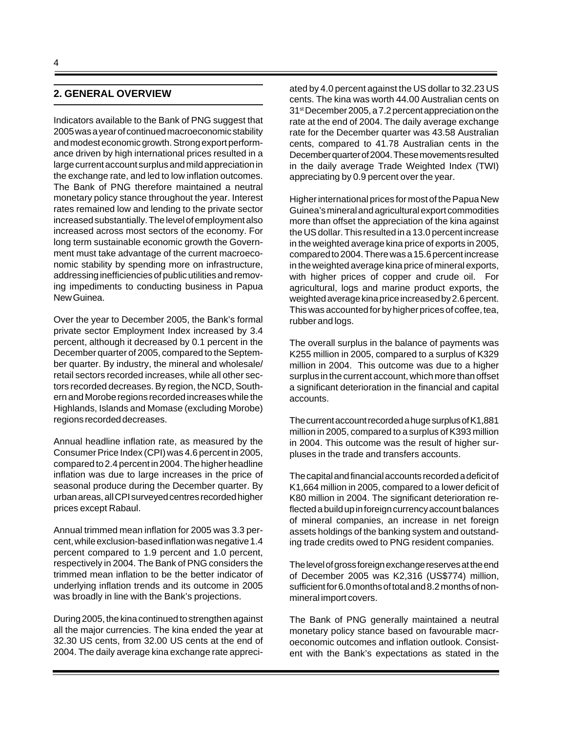# **2. GENERAL OVERVIEW**

Indicators available to the Bank of PNG suggest that 2005 was a year of continued macroeconomic stability and modest economic growth. Strong export performance driven by high international prices resulted in a large current account surplus and mild appreciation in the exchange rate, and led to low inflation outcomes. The Bank of PNG therefore maintained a neutral monetary policy stance throughout the year. Interest rates remained low and lending to the private sector increased substantially. The level of employment also increased across most sectors of the economy. For long term sustainable economic growth the Government must take advantage of the current macroeconomic stability by spending more on infrastructure, addressing inefficiencies of public utilities and removing impediments to conducting business in Papua New Guinea.

Over the year to December 2005, the Bank's formal private sector Employment Index increased by 3.4 percent, although it decreased by 0.1 percent in the December quarter of 2005, compared to the September quarter. By industry, the mineral and wholesale/ retail sectors recorded increases, while all other sectors recorded decreases. By region, the NCD, Southern and Morobe regions recorded increases while the Highlands, Islands and Momase (excluding Morobe) regions recorded decreases.

Annual headline inflation rate, as measured by the Consumer Price Index (CPI) was 4.6 percent in 2005, compared to 2.4 percent in 2004. The higher headline inflation was due to large increases in the price of seasonal produce during the December quarter. By urban areas, all CPI surveyed centres recorded higher prices except Rabaul.

Annual trimmed mean inflation for 2005 was 3.3 percent, while exclusion-based inflation was negative 1.4 percent compared to 1.9 percent and 1.0 percent, respectively in 2004. The Bank of PNG considers the trimmed mean inflation to be the better indicator of underlying inflation trends and its outcome in 2005 was broadly in line with the Bank's projections.

During 2005, the kina continued to strengthen against all the major currencies. The kina ended the year at 32.30 US cents, from 32.00 US cents at the end of 2004. The daily average kina exchange rate appreciated by 4.0 percent against the US dollar to 32.23 US cents. The kina was worth 44.00 Australian cents on 31st December 2005, a 7.2 percent appreciation on the rate at the end of 2004. The daily average exchange rate for the December quarter was 43.58 Australian cents, compared to 41.78 Australian cents in the December quarter of 2004. These movements resulted in the daily average Trade Weighted Index (TWI) appreciating by 0.9 percent over the year.

Higher international prices for most of the Papua New Guinea's mineral and agricultural export commodities more than offset the appreciation of the kina against the US dollar. This resulted in a 13.0 percent increase in the weighted average kina price of exports in 2005, compared to 2004. There was a 15.6 percent increase in the weighted average kina price of mineral exports, with higher prices of copper and crude oil. For agricultural, logs and marine product exports, the weighted average kina price increased by 2.6 percent. This was accounted for by higher prices of coffee, tea, rubber and logs.

The overall surplus in the balance of payments was K255 million in 2005, compared to a surplus of K329 million in 2004. This outcome was due to a higher surplus in the current account, which more than offset a significant deterioration in the financial and capital accounts.

The current account recorded a huge surplus of K1,881 million in 2005, compared to a surplus of K393 million in 2004. This outcome was the result of higher surpluses in the trade and transfers accounts.

The capital and financial accounts recorded a deficit of K1,664 million in 2005, compared to a lower deficit of K80 million in 2004. The significant deterioration reflected a build up in foreign currency account balances of mineral companies, an increase in net foreign assets holdings of the banking system and outstanding trade credits owed to PNG resident companies.

The level of gross foreign exchange reserves at the end of December 2005 was K2,316 (US\$774) million, sufficient for 6.0 months of total and 8.2 months of nonmineral import covers.

The Bank of PNG generally maintained a neutral monetary policy stance based on favourable macroeconomic outcomes and inflation outlook. Consistent with the Bank's expectations as stated in the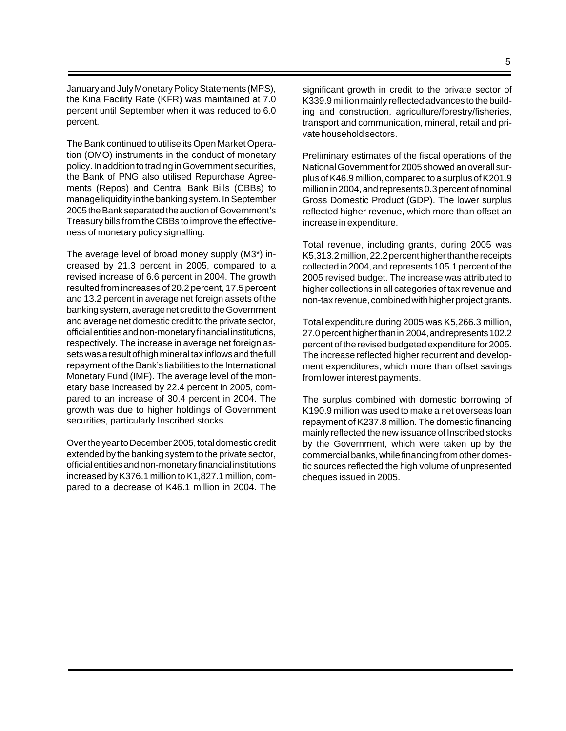January and July Monetary Policy Statements (MPS), the Kina Facility Rate (KFR) was maintained at 7.0 percent until September when it was reduced to 6.0 percent.

The Bank continued to utilise its Open Market Operation (OMO) instruments in the conduct of monetary policy. In addition to trading in Government securities, the Bank of PNG also utilised Repurchase Agreements (Repos) and Central Bank Bills (CBBs) to manage liquidity in the banking system. In September 2005 the Bank separated the auction of Government's Treasury bills from the CBBs to improve the effectiveness of monetary policy signalling.

The average level of broad money supply (M3\*) increased by 21.3 percent in 2005, compared to a revised increase of 6.6 percent in 2004. The growth resulted from increases of 20.2 percent, 17.5 percent and 13.2 percent in average net foreign assets of the banking system, average net credit to the Government and average net domestic credit to the private sector, official entities and non-monetary financial institutions, respectively. The increase in average net foreign assets was a result of high mineral tax inflows and the full repayment of the Bank's liabilities to the International Monetary Fund (IMF). The average level of the monetary base increased by 22.4 percent in 2005, compared to an increase of 30.4 percent in 2004. The growth was due to higher holdings of Government securities, particularly Inscribed stocks.

Over the year to December 2005, total domestic credit extended by the banking system to the private sector, official entities and non-monetary financial institutions increased by K376.1 million to K1,827.1 million, compared to a decrease of K46.1 million in 2004. The

significant growth in credit to the private sector of K339.9 million mainly reflected advances to the building and construction, agriculture/forestry/fisheries, transport and communication, mineral, retail and private household sectors.

Preliminary estimates of the fiscal operations of the National Government for 2005 showed an overall surplus of K46.9 million, compared to a surplus of K201.9 million in 2004, and represents 0.3 percent of nominal Gross Domestic Product (GDP). The lower surplus reflected higher revenue, which more than offset an increase in expenditure.

Total revenue, including grants, during 2005 was K5,313.2 million, 22.2 percent higher than the receipts collected in 2004, and represents 105.1 percent of the 2005 revised budget. The increase was attributed to higher collections in all categories of tax revenue and non-tax revenue, combined with higher project grants.

Total expenditure during 2005 was K5,266.3 million, 27.0 percent higher than in 2004, and represents 102.2 percent of the revised budgeted expenditure for 2005. The increase reflected higher recurrent and development expenditures, which more than offset savings from lower interest payments.

The surplus combined with domestic borrowing of K190.9 million was used to make a net overseas loan repayment of K237.8 million. The domestic financing mainly reflected the new issuance of Inscribed stocks by the Government, which were taken up by the commercial banks, while financing from other domestic sources reflected the high volume of unpresented cheques issued in 2005.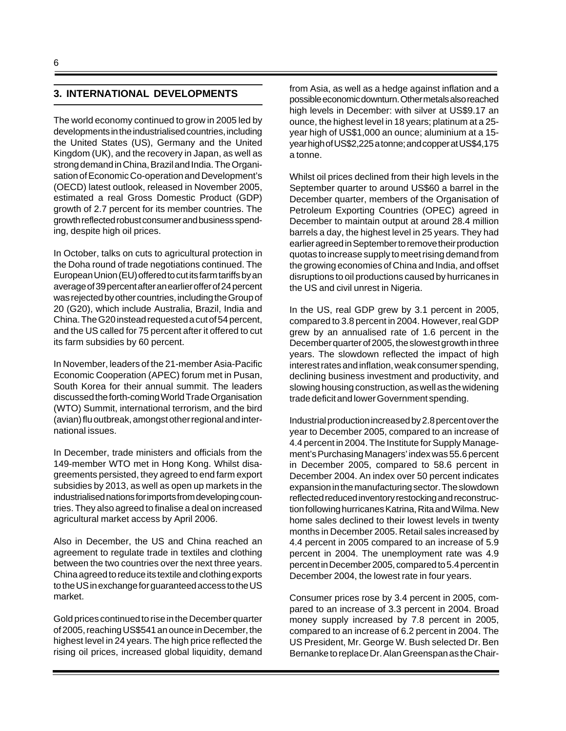### **3. INTERNATIONAL DEVELOPMENTS**

The world economy continued to grow in 2005 led by developments in the industrialised countries, including the United States (US), Germany and the United Kingdom (UK), and the recovery in Japan, as well as strong demand in China, Brazil and India. The Organisation of Economic Co-operation and Development's (OECD) latest outlook, released in November 2005, estimated a real Gross Domestic Product (GDP) growth of 2.7 percent for its member countries. The growth reflected robust consumer and business spending, despite high oil prices.

In October, talks on cuts to agricultural protection in the Doha round of trade negotiations continued. The European Union (EU) offered to cut its farm tariffs by an average of 39 percent after an earlier offer of 24 percent was rejected by other countries, including the Group of 20 (G20), which include Australia, Brazil, India and China. The G20 instead requested a cut of 54 percent, and the US called for 75 percent after it offered to cut its farm subsidies by 60 percent.

In November, leaders of the 21-member Asia-Pacific Economic Cooperation (APEC) forum met in Pusan, South Korea for their annual summit. The leaders discussed the forth-coming World Trade Organisation (WTO) Summit, international terrorism, and the bird (avian) flu outbreak, amongst other regional and international issues.

In December, trade ministers and officials from the 149-member WTO met in Hong Kong. Whilst disagreements persisted, they agreed to end farm export subsidies by 2013, as well as open up markets in the industrialised nations for imports from developing countries. They also agreed to finalise a deal on increased agricultural market access by April 2006.

Also in December, the US and China reached an agreement to regulate trade in textiles and clothing between the two countries over the next three years. China agreed to reduce its textile and clothing exports to the US in exchange for guaranteed access to the US market.

Gold prices continued to rise in the December quarter of 2005, reaching US\$541 an ounce in December, the highest level in 24 years. The high price reflected the rising oil prices, increased global liquidity, demand from Asia, as well as a hedge against inflation and a possible economic downturn. Other metals also reached high levels in December: with silver at US\$9.17 an ounce, the highest level in 18 years; platinum at a 25 year high of US\$1,000 an ounce; aluminium at a 15 year high of US\$2,225 a tonne; and copper at US\$4,175 a tonne.

Whilst oil prices declined from their high levels in the September quarter to around US\$60 a barrel in the December quarter, members of the Organisation of Petroleum Exporting Countries (OPEC) agreed in December to maintain output at around 28.4 million barrels a day, the highest level in 25 years. They had earlier agreed in September to remove their production quotas to increase supply to meet rising demand from the growing economies of China and India, and offset disruptions to oil productions caused by hurricanes in the US and civil unrest in Nigeria.

In the US, real GDP grew by 3.1 percent in 2005, compared to 3.8 percent in 2004. However, real GDP grew by an annualised rate of 1.6 percent in the December quarter of 2005, the slowest growth in three years. The slowdown reflected the impact of high interest rates and inflation, weak consumer spending, declining business investment and productivity, and slowing housing construction, as well as the widening trade deficit and lower Government spending.

Industrial production increased by 2.8 percent over the year to December 2005, compared to an increase of 4.4 percent in 2004. The Institute for Supply Management's Purchasing Managers' index was 55.6 percent in December 2005, compared to 58.6 percent in December 2004. An index over 50 percent indicates expansion in the manufacturing sector. The slowdown reflected reduced inventory restocking and reconstruction following hurricanes Katrina, Rita and Wilma. New home sales declined to their lowest levels in twenty months in December 2005. Retail sales increased by 4.4 percent in 2005 compared to an increase of 5.9 percent in 2004. The unemployment rate was 4.9 percent in December 2005, compared to 5.4 percent in December 2004, the lowest rate in four years.

Consumer prices rose by 3.4 percent in 2005, compared to an increase of 3.3 percent in 2004. Broad money supply increased by 7.8 percent in 2005, compared to an increase of 6.2 percent in 2004. The US President, Mr. George W. Bush selected Dr. Ben Bernanke to replace Dr. Alan Greenspan as the Chair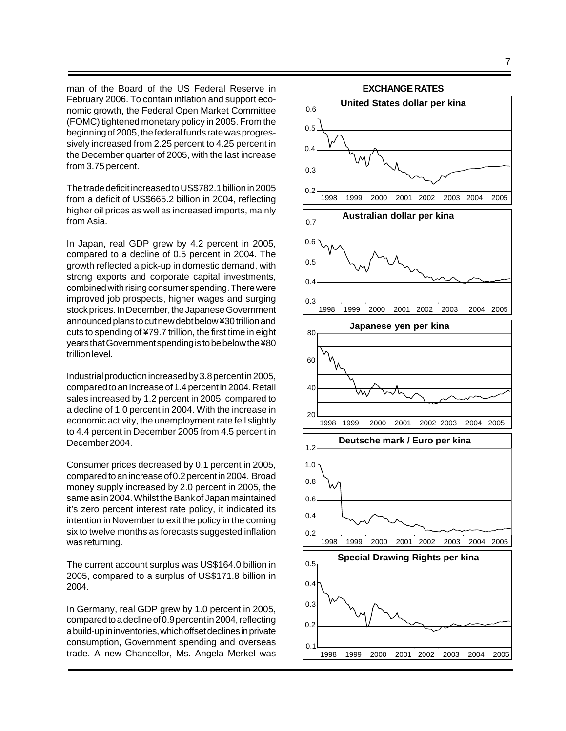man of the Board of the US Federal Reserve in February 2006. To contain inflation and support economic growth, the Federal Open Market Committee (FOMC) tightened monetary policy in 2005. From the beginning of 2005, the federal funds rate was progressively increased from 2.25 percent to 4.25 percent in the December quarter of 2005, with the last increase from 3.75 percent.

The trade deficit increased to US\$782.1 billion in 2005 from a deficit of US\$665.2 billion in 2004, reflecting higher oil prices as well as increased imports, mainly from Asia.

In Japan, real GDP grew by 4.2 percent in 2005, compared to a decline of 0.5 percent in 2004. The growth reflected a pick-up in domestic demand, with strong exports and corporate capital investments, combined with rising consumer spending. There were improved job prospects, higher wages and surging stock prices. In December, the Japanese Government announced plans to cut new debt below ¥30 trillion and cuts to spending of ¥79.7 trillion, the first time in eight years that Government spending is to be below the ¥80 trillion level.

Industrial production increased by 3.8 percent in 2005, compared to an increase of 1.4 percent in 2004. Retail sales increased by 1.2 percent in 2005, compared to a decline of 1.0 percent in 2004. With the increase in economic activity, the unemployment rate fell slightly to 4.4 percent in December 2005 from 4.5 percent in December 2004.

Consumer prices decreased by 0.1 percent in 2005, compared to an increase of 0.2 percent in 2004. Broad money supply increased by 2.0 percent in 2005, the same as in 2004. Whilst the Bank of Japan maintained it's zero percent interest rate policy, it indicated its intention in November to exit the policy in the coming six to twelve months as forecasts suggested inflation was returning.

The current account surplus was US\$164.0 billion in 2005, compared to a surplus of US\$171.8 billion in 2004.

In Germany, real GDP grew by 1.0 percent in 2005, compared to a decline of 0.9 percent in 2004, reflecting a build-up in inventories, which offset declines in private consumption, Government spending and overseas trade. A new Chancellor, Ms. Angela Merkel was

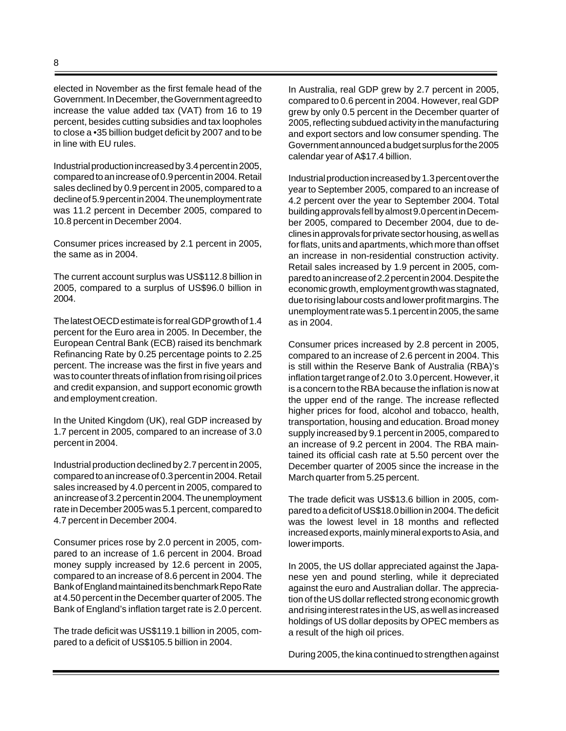elected in November as the first female head of the Government. In December, the Government agreed to increase the value added tax (VAT) from 16 to 19 percent, besides cutting subsidies and tax loopholes to close a •35 billion budget deficit by 2007 and to be in line with EU rules.

Industrial production increased by 3.4 percent in 2005, compared to an increase of 0.9 percent in 2004. Retail sales declined by 0.9 percent in 2005, compared to a decline of 5.9 percent in 2004. The unemployment rate was 11.2 percent in December 2005, compared to 10.8 percent in December 2004.

Consumer prices increased by 2.1 percent in 2005, the same as in 2004.

The current account surplus was US\$112.8 billion in 2005, compared to a surplus of US\$96.0 billion in 2004.

The latest OECD estimate is for real GDP growth of 1.4 percent for the Euro area in 2005. In December, the European Central Bank (ECB) raised its benchmark Refinancing Rate by 0.25 percentage points to 2.25 percent. The increase was the first in five years and was to counter threats of inflation from rising oil prices and credit expansion, and support economic growth and employment creation.

In the United Kingdom (UK), real GDP increased by 1.7 percent in 2005, compared to an increase of 3.0 percent in 2004.

Industrial production declined by 2.7 percent in 2005, compared to an increase of 0.3 percent in 2004. Retail sales increased by 4.0 percent in 2005, compared to an increase of 3.2 percent in 2004. The unemployment rate in December 2005 was 5.1 percent, compared to 4.7 percent in December 2004.

Consumer prices rose by 2.0 percent in 2005, compared to an increase of 1.6 percent in 2004. Broad money supply increased by 12.6 percent in 2005, compared to an increase of 8.6 percent in 2004. The Bank of England maintained its benchmark Repo Rate at 4.50 percent in the December quarter of 2005. The Bank of England's inflation target rate is 2.0 percent.

The trade deficit was US\$119.1 billion in 2005, compared to a deficit of US\$105.5 billion in 2004.

In Australia, real GDP grew by 2.7 percent in 2005, compared to 0.6 percent in 2004. However, real GDP grew by only 0.5 percent in the December quarter of 2005, reflecting subdued activity in the manufacturing and export sectors and low consumer spending. The Government announced a budget surplus for the 2005 calendar year of A\$17.4 billion.

Industrial production increased by 1.3 percent over the year to September 2005, compared to an increase of 4.2 percent over the year to September 2004. Total building approvals fell by almost 9.0 percent in December 2005, compared to December 2004, due to declines in approvals for private sector housing, as well as for flats, units and apartments, which more than offset an increase in non-residential construction activity. Retail sales increased by 1.9 percent in 2005, compared to an increase of 2.2 percent in 2004. Despite the economic growth, employment growth was stagnated, due to rising labour costs and lower profit margins. The unemployment rate was 5.1 percent in 2005, the same as in 2004.

Consumer prices increased by 2.8 percent in 2005, compared to an increase of 2.6 percent in 2004. This is still within the Reserve Bank of Australia (RBA)'s inflation target range of 2.0 to 3.0 percent. However, it is a concern to the RBA because the inflation is now at the upper end of the range. The increase reflected higher prices for food, alcohol and tobacco, health, transportation, housing and education. Broad money supply increased by 9.1 percent in 2005, compared to an increase of 9.2 percent in 2004. The RBA maintained its official cash rate at 5.50 percent over the December quarter of 2005 since the increase in the March quarter from 5.25 percent.

The trade deficit was US\$13.6 billion in 2005, compared to a deficit of US\$18.0 billion in 2004. The deficit was the lowest level in 18 months and reflected increased exports, mainly mineral exports to Asia, and lower imports.

In 2005, the US dollar appreciated against the Japanese yen and pound sterling, while it depreciated against the euro and Australian dollar. The appreciation of the US dollar reflected strong economic growth and rising interest rates in the US, as well as increased holdings of US dollar deposits by OPEC members as a result of the high oil prices.

During 2005, the kina continued to strengthen against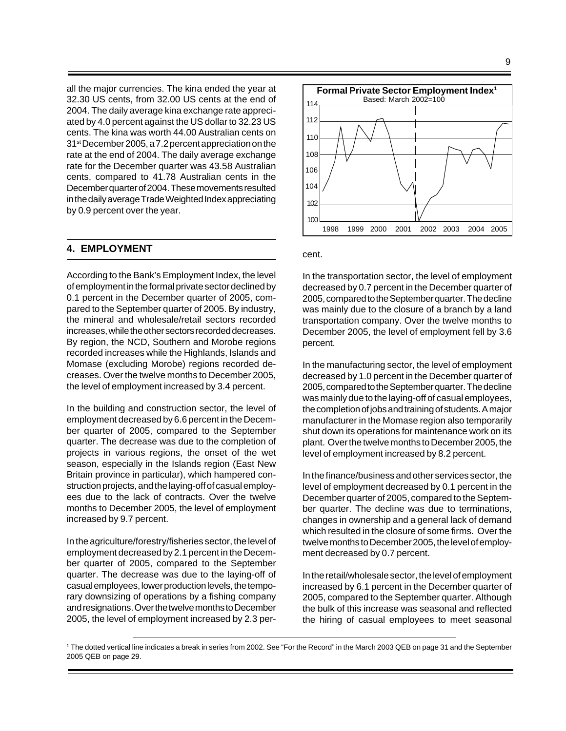all the major currencies. The kina ended the year at 32.30 US cents, from 32.00 US cents at the end of 2004. The daily average kina exchange rate appreciated by 4.0 percent against the US dollar to 32.23 US cents. The kina was worth 44.00 Australian cents on 31st December 2005, a 7.2 percent appreciation on the rate at the end of 2004. The daily average exchange rate for the December quarter was 43.58 Australian cents, compared to 41.78 Australian cents in the December quarter of 2004. These movements resulted in the daily average Trade Weighted Index appreciating by 0.9 percent over the year.

#### **4. EMPLOYMENT**

According to the Bank's Employment Index, the level of employment in the formal private sector declined by 0.1 percent in the December quarter of 2005, compared to the September quarter of 2005. By industry, the mineral and wholesale/retail sectors recorded increases, while the other sectors recorded decreases. By region, the NCD, Southern and Morobe regions recorded increases while the Highlands, Islands and Momase (excluding Morobe) regions recorded decreases. Over the twelve months to December 2005, the level of employment increased by 3.4 percent.

In the building and construction sector, the level of employment decreased by 6.6 percent in the December quarter of 2005, compared to the September quarter. The decrease was due to the completion of projects in various regions, the onset of the wet season, especially in the Islands region (East New Britain province in particular), which hampered construction projects, and the laying-off of casual employees due to the lack of contracts. Over the twelve months to December 2005, the level of employment increased by 9.7 percent.

In the agriculture/forestry/fisheries sector, the level of employment decreased by 2.1 percent in the December quarter of 2005, compared to the September quarter. The decrease was due to the laying-off of casual employees, lower production levels, the temporary downsizing of operations by a fishing company and resignations. Over the twelve months to December 2005, the level of employment increased by 2.3 per-



cent.

In the transportation sector, the level of employment decreased by 0.7 percent in the December quarter of 2005, compared to the September quarter. The decline was mainly due to the closure of a branch by a land transportation company. Over the twelve months to December 2005, the level of employment fell by 3.6 percent.

In the manufacturing sector, the level of employment decreased by 1.0 percent in the December quarter of 2005, compared to the September quarter. The decline was mainly due to the laying-off of casual employees, the completion of jobs and training of students. A major manufacturer in the Momase region also temporarily shut down its operations for maintenance work on its plant. Over the twelve months to December 2005, the level of employment increased by 8.2 percent.

In the finance/business and other services sector, the level of employment decreased by 0.1 percent in the December quarter of 2005, compared to the September quarter. The decline was due to terminations, changes in ownership and a general lack of demand which resulted in the closure of some firms. Over the twelve months to December 2005, the level of employment decreased by 0.7 percent.

In the retail/wholesale sector, the level of employment increased by 6.1 percent in the December quarter of 2005, compared to the September quarter. Although the bulk of this increase was seasonal and reflected the hiring of casual employees to meet seasonal

<sup>1</sup> The dotted vertical line indicates a break in series from 2002. See "For the Record" in the March 2003 QEB on page 31 and the September 2005 QEB on page 29.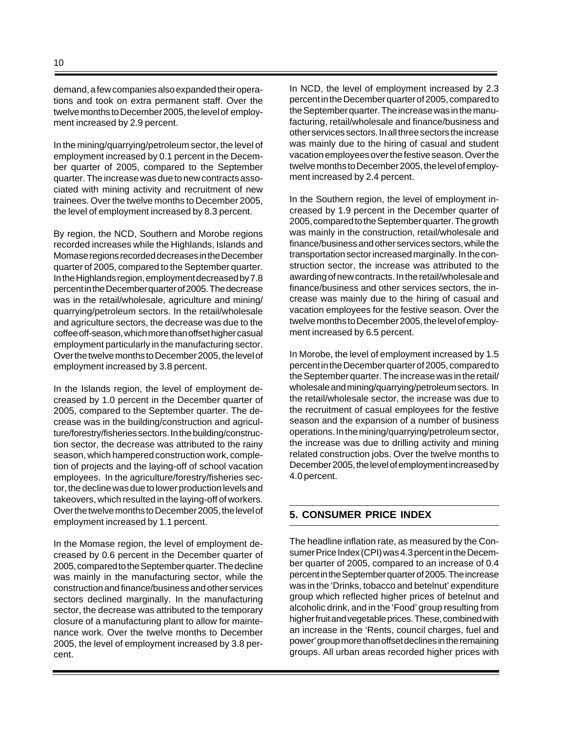demand, a few companies also expanded their operations and took on extra permanent staff. Over the twelve months to December 2005, the level of employment increased by 2.9 percent.

In the mining/quarrying/petroleum sector, the level of employment increased by 0.1 percent in the December quarter of 2005, compared to the September quarter. The increase was due to new contracts associated with mining activity and recruitment of new trainees. Over the twelve months to December 2005, the level of employment increased by 8.3 percent.

By region, the NCD, Southern and Morobe regions recorded increases while the Highlands, Islands and Momase regions recorded decreases in the December quarter of 2005, compared to the September quarter. In the Highlands region, employment decreased by 7.8 percent in the December quarter of 2005. The decrease was in the retail/wholesale, agriculture and mining/ quarrying/petroleum sectors. In the retail/wholesale and agriculture sectors, the decrease was due to the coffee off-season, which more than offset higher casual employment particularly in the manufacturing sector. Over the twelve months to December 2005, the level of employment increased by 3.8 percent.

In the Islands region, the level of employment decreased by 1.0 percent in the December quarter of 2005, compared to the September quarter. The decrease was in the building/construction and agriculture/forestry/fisheries sectors. In the building/construction sector, the decrease was attributed to the rainy season, which hampered construction work, completion of projects and the laying-off of school vacation employees. In the agriculture/forestry/fisheries sector, the decline was due to lower production levels and takeovers, which resulted in the laying-off of workers. Over the twelve months to December 2005, the level of employment increased by 1.1 percent.

In the Momase region, the level of employment decreased by 0.6 percent in the December quarter of 2005, compared to the September quarter. The decline was mainly in the manufacturing sector, while the construction and finance/business and other services sectors declined marginally. In the manufacturing sector, the decrease was attributed to the temporary closure of a manufacturing plant to allow for maintenance work. Over the twelve months to December 2005, the level of employment increased by 3.8 percent.

In NCD, the level of employment increased by 2.3 percent in the December quarter of 2005, compared to the September quarter. The increase was in the manufacturing, retail/wholesale and finance/business and other services sectors. In all three sectors the increase was mainly due to the hiring of casual and student vacation employees over the festive season. Over the twelve months to December 2005, the level of employment increased by 2.4 percent.

In the Southern region, the level of employment increased by 1.9 percent in the December quarter of 2005, compared to the September quarter. The growth was mainly in the construction, retail/wholesale and finance/business and other services sectors, while the transportation sector increased marginally. In the construction sector, the increase was attributed to the awarding of new contracts. In the retail/wholesale and finance/business and other services sectors, the increase was mainly due to the hiring of casual and vacation employees for the festive season. Over the twelve months to December 2005, the level of employment increased by 6.5 percent.

In Morobe, the level of employment increased by 1.5 percent in the December quarter of 2005, compared to the September quarter. The increase was in the retail/ wholesale and mining/quarrying/petroleum sectors. In the retail/wholesale sector, the increase was due to the recruitment of casual employees for the festive season and the expansion of a number of business operations. In the mining/quarrying/petroleum sector, the increase was due to drilling activity and mining related construction jobs. Over the twelve months to December 2005, the level of employment increased by 4.0 percent.

# **5. CONSUMER PRICE INDEX**

The headline inflation rate, as measured by the Consumer Price Index (CPI) was 4.3 percent in the December quarter of 2005, compared to an increase of 0.4 percent in the September quarter of 2005. The increase was in the 'Drinks, tobacco and betelnut' expenditure group which reflected higher prices of betelnut and alcoholic drink, and in the 'Food' group resulting from higher fruit and vegetable prices. These, combined with an increase in the 'Rents, council charges, fuel and power' group more than offset declines in the remaining groups. All urban areas recorded higher prices with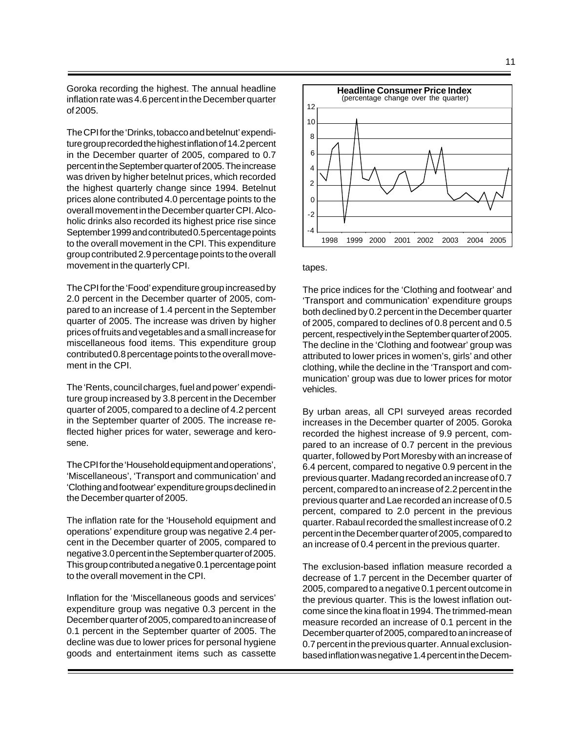Goroka recording the highest. The annual headline inflation rate was 4.6 percent in the December quarter of 2005.

The CPI for the 'Drinks, tobacco and betelnut' expenditure group recorded the highest inflation of 14.2 percent in the December quarter of 2005, compared to 0.7 percent in the September quarter of 2005. The increase was driven by higher betelnut prices, which recorded the highest quarterly change since 1994. Betelnut prices alone contributed 4.0 percentage points to the overall movement in the December quarter CPI. Alcoholic drinks also recorded its highest price rise since September 1999 and contributed 0.5 percentage points to the overall movement in the CPI. This expenditure group contributed 2.9 percentage points to the overall movement in the quarterly CPI.

The CPI for the 'Food' expenditure group increased by 2.0 percent in the December quarter of 2005, compared to an increase of 1.4 percent in the September quarter of 2005. The increase was driven by higher prices of fruits and vegetables and a small increase for miscellaneous food items. This expenditure group contributed 0.8 percentage points to the overall movement in the CPI.

The 'Rents, council charges, fuel and power' expenditure group increased by 3.8 percent in the December quarter of 2005, compared to a decline of 4.2 percent in the September quarter of 2005. The increase reflected higher prices for water, sewerage and kerosene.

The CPI for the 'Household equipment and operations', 'Miscellaneous', 'Transport and communication' and 'Clothing and footwear' expenditure groups declined in the December quarter of 2005.

The inflation rate for the 'Household equipment and operations' expenditure group was negative 2.4 percent in the December quarter of 2005, compared to negative 3.0 percent in the September quarter of 2005. This group contributed a negative 0.1 percentage point to the overall movement in the CPI.

Inflation for the 'Miscellaneous goods and services' expenditure group was negative 0.3 percent in the December quarter of 2005, compared to an increase of 0.1 percent in the September quarter of 2005. The decline was due to lower prices for personal hygiene goods and entertainment items such as cassette



#### tapes.

The price indices for the 'Clothing and footwear' and 'Transport and communication' expenditure groups both declined by 0.2 percent in the December quarter of 2005, compared to declines of 0.8 percent and 0.5 percent, respectively in the September quarter of 2005. The decline in the 'Clothing and footwear' group was attributed to lower prices in women's, girls' and other clothing, while the decline in the 'Transport and communication' group was due to lower prices for motor vehicles.

By urban areas, all CPI surveyed areas recorded increases in the December quarter of 2005. Goroka recorded the highest increase of 9.9 percent, compared to an increase of 0.7 percent in the previous quarter, followed by Port Moresby with an increase of 6.4 percent, compared to negative 0.9 percent in the previous quarter. Madang recorded an increase of 0.7 percent, compared to an increase of 2.2 percent in the previous quarter and Lae recorded an increase of 0.5 percent, compared to 2.0 percent in the previous quarter. Rabaul recorded the smallest increase of 0.2 percent in the December quarter of 2005, compared to an increase of 0.4 percent in the previous quarter.

The exclusion-based inflation measure recorded a decrease of 1.7 percent in the December quarter of 2005, compared to a negative 0.1 percent outcome in the previous quarter. This is the lowest inflation outcome since the kina float in 1994. The trimmed-mean measure recorded an increase of 0.1 percent in the December quarter of 2005, compared to an increase of 0.7 percent in the previous quarter. Annual exclusionbased inflation was negative 1.4 percent in the Decem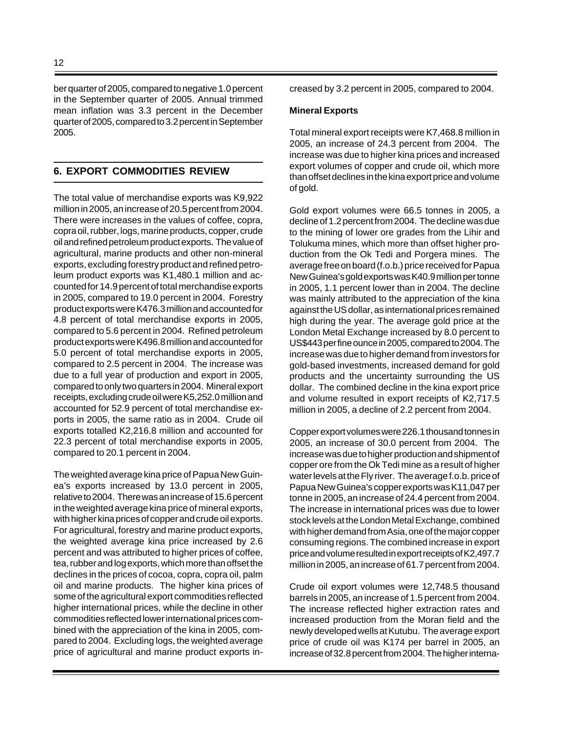ber quarter of 2005, compared to negative 1.0 percent in the September quarter of 2005. Annual trimmed mean inflation was 3.3 percent in the December quarter of 2005, compared to 3.2 percent in September 2005.

### **6. EXPORT COMMODITIES REVIEW**

The total value of merchandise exports was K9,922 million in 2005, an increase of 20.5 percent from 2004. There were increases in the values of coffee, copra, copra oil, rubber, logs, marine products, copper, crude oil and refined petroleum product exports. The value of agricultural, marine products and other non-mineral exports, excluding forestry product and refined petroleum product exports was K1,480.1 million and accounted for 14.9 percent of total merchandise exports in 2005, compared to 19.0 percent in 2004. Forestry product exports were K476.3 million and accounted for 4.8 percent of total merchandise exports in 2005, compared to 5.6 percent in 2004. Refined petroleum product exports were K496.8 million and accounted for 5.0 percent of total merchandise exports in 2005, compared to 2.5 percent in 2004. The increase was due to a full year of production and export in 2005, compared to only two quarters in 2004. Mineral export receipts, excluding crude oil were K5,252.0 million and accounted for 52.9 percent of total merchandise exports in 2005, the same ratio as in 2004. Crude oil exports totalled K2,216.8 million and accounted for 22.3 percent of total merchandise exports in 2005, compared to 20.1 percent in 2004.

The weighted average kina price of Papua New Guinea's exports increased by 13.0 percent in 2005, relative to 2004. There was an increase of 15.6 percent in the weighted average kina price of mineral exports, with higher kina prices of copper and crude oil exports. For agricultural, forestry and marine product exports, the weighted average kina price increased by 2.6 percent and was attributed to higher prices of coffee, tea, rubber and log exports, which more than offset the declines in the prices of cocoa, copra, copra oil, palm oil and marine products. The higher kina prices of some of the agricultural export commodities reflected higher international prices, while the decline in other commodities reflected lower international prices combined with the appreciation of the kina in 2005, compared to 2004. Excluding logs, the weighted average price of agricultural and marine product exports increased by 3.2 percent in 2005, compared to 2004.

#### **Mineral Exports**

Total mineral export receipts were K7,468.8 million in 2005, an increase of 24.3 percent from 2004. The increase was due to higher kina prices and increased export volumes of copper and crude oil, which more than offset declines in the kina export price and volume of gold.

Gold export volumes were 66.5 tonnes in 2005, a decline of 1.2 percent from 2004. The decline was due to the mining of lower ore grades from the Lihir and Tolukuma mines, which more than offset higher production from the Ok Tedi and Porgera mines. The average free on board (f.o.b.) price received for Papua New Guinea's gold exports was K40.9 million per tonne in 2005, 1.1 percent lower than in 2004. The decline was mainly attributed to the appreciation of the kina against the US dollar, as international prices remained high during the year. The average gold price at the London Metal Exchange increased by 8.0 percent to US\$443 per fine ounce in 2005, compared to 2004. The increase was due to higher demand from investors for gold-based investments, increased demand for gold products and the uncertainty surrounding the US dollar. The combined decline in the kina export price and volume resulted in export receipts of K2,717.5 million in 2005, a decline of 2.2 percent from 2004.

Copper export volumes were 226.1 thousand tonnes in 2005, an increase of 30.0 percent from 2004. The increase was due to higher production and shipment of copper ore from the Ok Tedi mine as a result of higher water levels at the Fly river. The average f.o.b. price of Papua New Guinea's copper exports was K11,047 per tonne in 2005, an increase of 24.4 percent from 2004. The increase in international prices was due to lower stock levels at the London Metal Exchange, combined with higher demand from Asia, one of the major copper consuming regions. The combined increase in export price and volume resulted in export receipts of K2,497.7 million in 2005, an increase of 61.7 percent from 2004.

Crude oil export volumes were 12,748.5 thousand barrels in 2005, an increase of 1.5 percent from 2004. The increase reflected higher extraction rates and increased production from the Moran field and the newly developed wells at Kutubu. The average export price of crude oil was K174 per barrel in 2005, an increase of 32.8 percent from 2004. The higher interna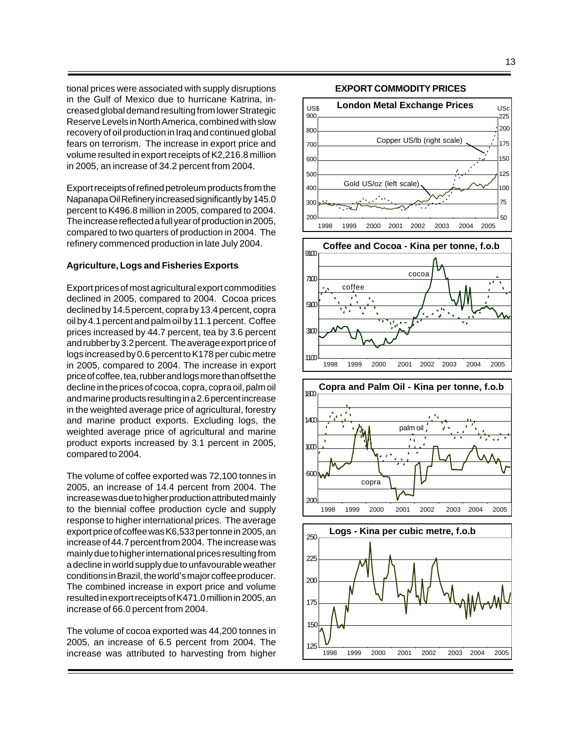tional prices were associated with supply disruptions in the Gulf of Mexico due to hurricane Katrina, increased global demand resulting from lower Strategic Reserve Levels in North America, combined with slow recovery of oil production in Iraq and continued global fears on terrorism. The increase in export price and volume resulted in export receipts of K2,216.8 million in 2005, an increase of 34.2 percent from 2004.

Export receipts of refined petroleum products from the Napanapa Oil Refinery increased significantly by 145.0 percent to K496.8 million in 2005, compared to 2004. The increase reflected a full year of production in 2005, compared to two quarters of production in 2004. The refinery commenced production in late July 2004.

#### **Agriculture, Logs and Fisheries Exports**

Export prices of most agricultural export commodities declined in 2005, compared to 2004. Cocoa prices declined by 14.5 percent, copra by 13.4 percent, copra oil by 4.1 percent and palm oil by 11.1 percent. Coffee prices increased by 44.7 percent, tea by 3.6 percent and rubber by 3.2 percent. The average export price of logs increased by 0.6 percent to K178 per cubic metre in 2005, compared to 2004. The increase in export price of coffee, tea, rubber and logs more than offset the decline in the prices of cocoa, copra, copra oil, palm oil and marine products resulting in a 2.6 percent increase in the weighted average price of agricultural, forestry and marine product exports. Excluding logs, the weighted average price of agricultural and marine product exports increased by 3.1 percent in 2005, compared to 2004.

The volume of coffee exported was 72,100 tonnes in 2005, an increase of 14.4 percent from 2004. The increase was due to higher production attributed mainly to the biennial coffee production cycle and supply response to higher international prices. The average export price of coffee was K6,533 per tonne in 2005, an increase of 44.7 percent from 2004. The increase was mainly due to higher international prices resulting from a decline in world supply due to unfavourable weather conditions in Brazil, the world's major coffee producer. The combined increase in export price and volume resulted in export receipts of K471.0 million in 2005, an increase of 66.0 percent from 2004.

The volume of cocoa exported was 44,200 tonnes in 2005, an increase of 6.5 percent from 2004. The increase was attributed to harvesting from higher

### **EXPORT COMMODITY PRICES**

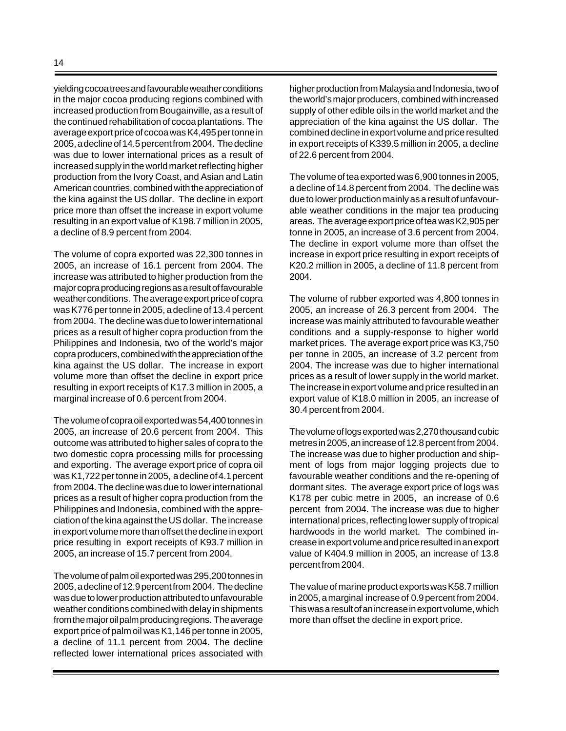yielding cocoa trees and favourable weather conditions in the major cocoa producing regions combined with increased production from Bougainville, as a result of the continued rehabilitation of cocoa plantations.The average export price of cocoa was K4,495 per tonne in 2005, a decline of 14.5 percent from 2004. The decline was due to lower international prices as a result of increased supply in the world market reflecting higher production from the Ivory Coast, and Asian and Latin American countries, combined with the appreciation of the kina against the US dollar. The decline in export price more than offset the increase in export volume resulting in an export value of K198.7 million in 2005, a decline of 8.9 percent from 2004.

The volume of copra exported was 22,300 tonnes in 2005, an increase of 16.1 percent from 2004. The increase was attributed to higher production from the major copra producing regions as a result of favourable weather conditions. The average export price of copra was K776 per tonne in 2005, a decline of 13.4 percent from 2004. The decline was due to lower international prices as a result of higher copra production from the Philippines and Indonesia, two of the world's major copra producers, combined with the appreciation of the kina against the US dollar. The increase in export volume more than offset the decline in export price resulting in export receipts of K17.3 million in 2005, a marginal increase of 0.6 percent from 2004.

The volume of copra oil exported was 54,400 tonnes in 2005, an increase of 20.6 percent from 2004. This outcome was attributed to higher sales of copra to the two domestic copra processing mills for processing and exporting. The average export price of copra oil was K1,722 per tonne in 2005, a decline of 4.1 percent from 2004. The decline was due to lower international prices as a result of higher copra production from the Philippines and Indonesia, combined with the appreciation of the kina against the US dollar. The increase in export volume more than offset the decline in export price resulting in export receipts of K93.7 million in 2005, an increase of 15.7 percent from 2004.

The volume of palm oil exported was 295,200 tonnes in 2005, a decline of 12.9 percent from 2004. The decline was due to lower production attributed to unfavourable weather conditions combined with delay in shipments from the major oil palm producing regions. The average export price of palm oil was K1,146 per tonne in 2005, a decline of 11.1 percent from 2004. The decline reflected lower international prices associated with higher production from Malaysia and Indonesia, two of the world's major producers, combined with increased supply of other edible oils in the world market and the appreciation of the kina against the US dollar. The combined decline in export volume and price resulted in export receipts of K339.5 million in 2005, a decline of 22.6 percent from 2004.

The volume of tea exported was 6,900 tonnes in 2005, a decline of 14.8 percent from 2004. The decline was due to lower production mainly as a result of unfavourable weather conditions in the major tea producing areas. The average export price of tea was K2,905 per tonne in 2005, an increase of 3.6 percent from 2004. The decline in export volume more than offset the increase in export price resulting in export receipts of K20.2 million in 2005, a decline of 11.8 percent from 2004.

The volume of rubber exported was 4,800 tonnes in 2005, an increase of 26.3 percent from 2004. The increase was mainly attributed to favourable weather conditions and a supply-response to higher world market prices. The average export price was K3,750 per tonne in 2005, an increase of 3.2 percent from 2004. The increase was due to higher international prices as a result of lower supply in the world market. The increase in export volume and price resulted in an export value of K18.0 million in 2005, an increase of 30.4 percent from 2004.

The volume of logs exported was 2,270 thousand cubic metres in 2005, an increase of 12.8 percent from 2004. The increase was due to higher production and shipment of logs from major logging projects due to favourable weather conditions and the re-opening of dormant sites. The average export price of logs was K178 per cubic metre in 2005, an increase of 0.6 percent from 2004. The increase was due to higher international prices, reflecting lower supply of tropical hardwoods in the world market. The combined increase in export volume and price resulted in an export value of K404.9 million in 2005, an increase of 13.8 percent from 2004.

The value of marine product exports was K58.7 million in 2005, a marginal increase of 0.9 percent from 2004. This was a result of an increase in export volume, which more than offset the decline in export price.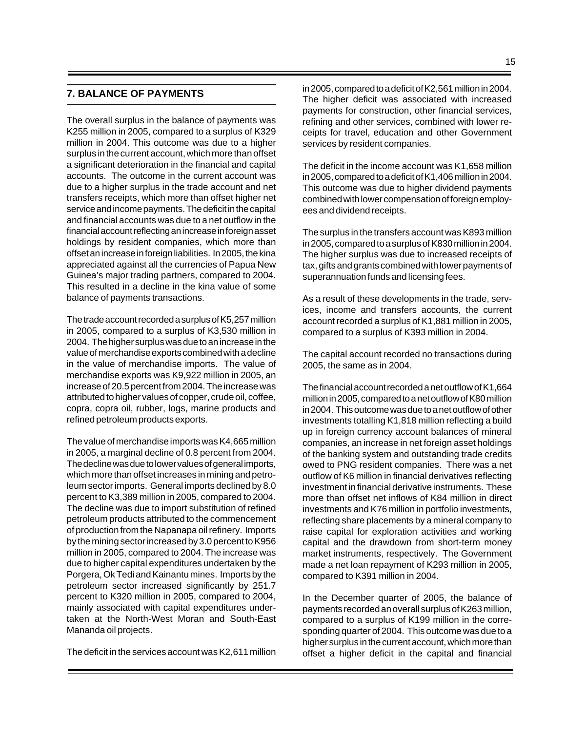#### **7. BALANCE OF PAYMENTS**

The overall surplus in the balance of payments was K255 million in 2005, compared to a surplus of K329 million in 2004. This outcome was due to a higher surplus in the current account, which more than offset a significant deterioration in the financial and capital accounts. The outcome in the current account was due to a higher surplus in the trade account and net transfers receipts, which more than offset higher net service and income payments. The deficit in the capital and financial accounts was due to a net outflow in the financial account reflecting an increase in foreign asset holdings by resident companies, which more than offset an increase in foreign liabilities. In 2005, the kina appreciated against all the currencies of Papua New Guinea's major trading partners, compared to 2004. This resulted in a decline in the kina value of some balance of payments transactions.

The trade account recorded a surplus of K5,257 million in 2005, compared to a surplus of K3,530 million in 2004. The higher surplus was due to an increase in the value of merchandise exports combined with a decline in the value of merchandise imports. The value of merchandise exports was K9,922 million in 2005, an increase of 20.5 percent from 2004. The increase was attributed to higher values of copper, crude oil, coffee, copra, copra oil, rubber, logs, marine products and refined petroleum products exports.

The value of merchandise imports was K4,665 million in 2005, a marginal decline of 0.8 percent from 2004. The decline was due to lower values of general imports, which more than offset increases in mining and petroleum sector imports. General imports declined by 8.0 percent to K3,389 million in 2005, compared to 2004. The decline was due to import substitution of refined petroleum products attributed to the commencement of production from the Napanapa oil refinery. Imports by the mining sector increased by 3.0 percent to K956 million in 2005, compared to 2004. The increase was due to higher capital expenditures undertaken by the Porgera, Ok Tedi and Kainantu mines. Imports by the petroleum sector increased significantly by 251.7 percent to K320 million in 2005, compared to 2004, mainly associated with capital expenditures undertaken at the North-West Moran and South-East Mananda oil projects.

The deficit in the services account was K2,611 million

in 2005, compared to a deficit of K2,561 million in 2004. The higher deficit was associated with increased payments for construction, other financial services, refining and other services, combined with lower receipts for travel, education and other Government services by resident companies.

The deficit in the income account was K1,658 million in 2005, compared to a deficit of K1,406 million in 2004. This outcome was due to higher dividend payments combined with lower compensation of foreign employees and dividend receipts.

The surplus in the transfers account was K893 million in 2005, compared to a surplus of K830 million in 2004. The higher surplus was due to increased receipts of tax, gifts and grants combined with lower payments of superannuation funds and licensing fees.

As a result of these developments in the trade, services, income and transfers accounts, the current account recorded a surplus of K1,881 million in 2005, compared to a surplus of K393 million in 2004.

The capital account recorded no transactions during 2005, the same as in 2004.

The financial account recorded a net outflow of K1,664 million in 2005, compared to a net outflow of K80 million in 2004. This outcome was due to a net outflow of other investments totalling K1,818 million reflecting a build up in foreign currency account balances of mineral companies, an increase in net foreign asset holdings of the banking system and outstanding trade credits owed to PNG resident companies. There was a net outflow of K6 million in financial derivatives reflecting investment in financial derivative instruments. These more than offset net inflows of K84 million in direct investments and K76 million in portfolio investments, reflecting share placements by a mineral company to raise capital for exploration activities and working capital and the drawdown from short-term money market instruments, respectively. The Government made a net loan repayment of K293 million in 2005, compared to K391 million in 2004.

In the December quarter of 2005, the balance of payments recorded an overall surplus of K263 million, compared to a surplus of K199 million in the corresponding quarter of 2004. This outcome was due to a higher surplus in the current account, which more than offset a higher deficit in the capital and financial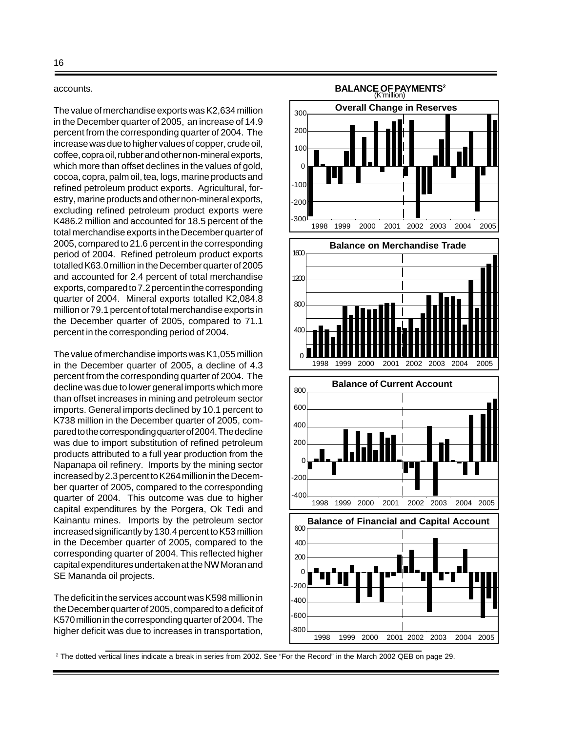#### accounts.

The value of merchandise exports was K2,634 million in the December quarter of 2005, an increase of 14.9 percent from the corresponding quarter of 2004. The increase was due to higher values of copper, crude oil, coffee, copra oil, rubber and other non-mineral exports, which more than offset declines in the values of gold, cocoa, copra, palm oil, tea, logs, marine products and refined petroleum product exports. Agricultural, forestry, marine products and other non-mineral exports, excluding refined petroleum product exports were K486.2 million and accounted for 18.5 percent of the total merchandise exports in the December quarter of 2005, compared to 21.6 percent in the corresponding period of 2004. Refined petroleum product exports totalled K63.0 million in the December quarter of 2005 and accounted for 2.4 percent of total merchandise exports, compared to 7.2 percent in the corresponding quarter of 2004. Mineral exports totalled K2,084.8 million or 79.1 percent of total merchandise exports in the December quarter of 2005, compared to 71.1 percent in the corresponding period of 2004.

The value of merchandise imports was K1,055 million in the December quarter of 2005, a decline of 4.3 percent from the corresponding quarter of 2004. The decline was due to lower general imports which more than offset increases in mining and petroleum sector imports. General imports declined by 10.1 percent to K738 million in the December quarter of 2005, compared to the corresponding quarter of 2004. The decline was due to import substitution of refined petroleum products attributed to a full year production from the Napanapa oil refinery. Imports by the mining sector increased by 2.3 percent to K264 million in the December quarter of 2005, compared to the corresponding quarter of 2004. This outcome was due to higher capital expenditures by the Porgera, Ok Tedi and Kainantu mines. Imports by the petroleum sector increased significantly by 130.4 percent to K53 million in the December quarter of 2005, compared to the corresponding quarter of 2004. This reflected higher capital expenditures undertaken at the NW Moran and SE Mananda oil projects.

The deficit in the services account was K598 million in the December quarter of 2005, compared to a deficit of K570 million in the corresponding quarter of 2004. The higher deficit was due to increases in transportation,



2 The dotted vertical lines indicate a break in series from 2002. See "For the Record" in the March 2002 QEB on page 29.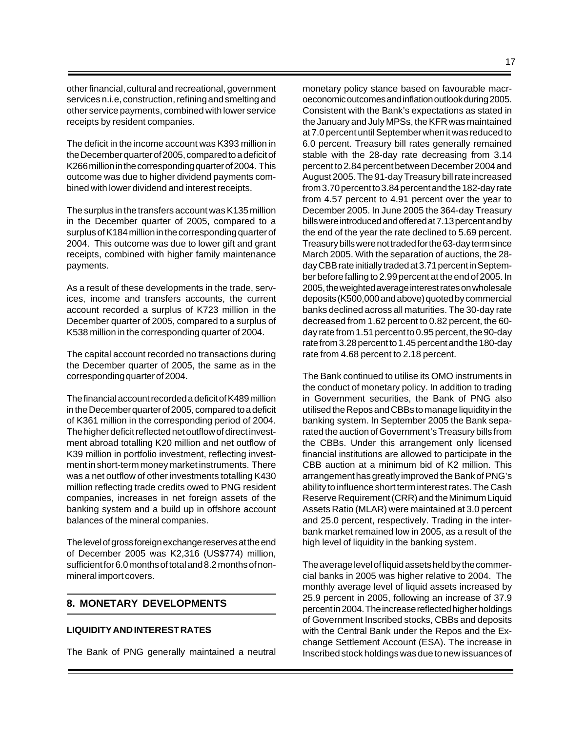other financial, cultural and recreational, government services n.i.e, construction, refining and smelting and other service payments, combined with lower service receipts by resident companies.

The deficit in the income account was K393 million in the December quarter of 2005, compared to a deficit of K266 million in the corresponding quarter of 2004. This outcome was due to higher dividend payments combined with lower dividend and interest receipts.

The surplus in the transfers account was K135 million in the December quarter of 2005, compared to a surplus of K184 million in the corresponding quarter of 2004. This outcome was due to lower gift and grant receipts, combined with higher family maintenance payments.

As a result of these developments in the trade, services, income and transfers accounts, the current account recorded a surplus of K723 million in the December quarter of 2005, compared to a surplus of K538 million in the corresponding quarter of 2004.

The capital account recorded no transactions during the December quarter of 2005, the same as in the corresponding quarter of 2004.

The financial account recorded a deficit of K489 million in the December quarter of 2005, compared to a deficit of K361 million in the corresponding period of 2004. The higher deficit reflected net outflow of direct investment abroad totalling K20 million and net outflow of K39 million in portfolio investment, reflecting investment in short-term money market instruments. There was a net outflow of other investments totalling K430 million reflecting trade credits owed to PNG resident companies, increases in net foreign assets of the banking system and a build up in offshore account balances of the mineral companies.

The level of gross foreign exchange reserves at the end of December 2005 was K2,316 (US\$774) million, sufficient for 6.0 months of total and 8.2 months of nonmineral import covers.

# **8. MONETARY DEVELOPMENTS**

#### **LIQUIDITY AND INTEREST RATES**

The Bank of PNG generally maintained a neutral

monetary policy stance based on favourable macroeconomic outcomes and inflation outlook during 2005. Consistent with the Bank's expectations as stated in the January and July MPSs, the KFR was maintained at 7.0 percent until September when it was reduced to 6.0 percent. Treasury bill rates generally remained stable with the 28-day rate decreasing from 3.14 percent to 2.84 percent between December 2004 and August 2005. The 91-day Treasury bill rate increased from 3.70 percent to 3.84 percent and the 182-day rate from 4.57 percent to 4.91 percent over the year to December 2005. In June 2005 the 364-day Treasury bills were introduced and offered at 7.13 percent and by the end of the year the rate declined to 5.69 percent. Treasury bills were not traded for the 63-day term since March 2005. With the separation of auctions, the 28 day CBB rate initially traded at 3.71 percent in September before falling to 2.99 percent at the end of 2005. In 2005, the weighted average interest rates on wholesale deposits (K500,000 and above) quoted by commercial banks declined across all maturities. The 30-day rate decreased from 1.62 percent to 0.82 percent, the 60 day rate from 1.51 percent to 0.95 percent, the 90-day rate from 3.28 percent to 1.45 percent and the 180-day rate from 4.68 percent to 2.18 percent.

The Bank continued to utilise its OMO instruments in the conduct of monetary policy. In addition to trading in Government securities, the Bank of PNG also utilised the Repos and CBBs to manage liquidity in the banking system. In September 2005 the Bank separated the auction of Government's Treasury bills from the CBBs. Under this arrangement only licensed financial institutions are allowed to participate in the CBB auction at a minimum bid of K2 million. This arrangement has greatly improved the Bank of PNG's ability to influence short term interest rates. The Cash Reserve Requirement (CRR) and the Minimum Liquid Assets Ratio (MLAR) were maintained at 3.0 percent and 25.0 percent, respectively. Trading in the interbank market remained low in 2005, as a result of the high level of liquidity in the banking system.

The average level of liquid assets held by the commercial banks in 2005 was higher relative to 2004. The monthly average level of liquid assets increased by 25.9 percent in 2005, following an increase of 37.9 percent in 2004. The increase reflected higher holdings of Government Inscribed stocks, CBBs and deposits with the Central Bank under the Repos and the Exchange Settlement Account (ESA). The increase in Inscribed stock holdings was due to new issuances of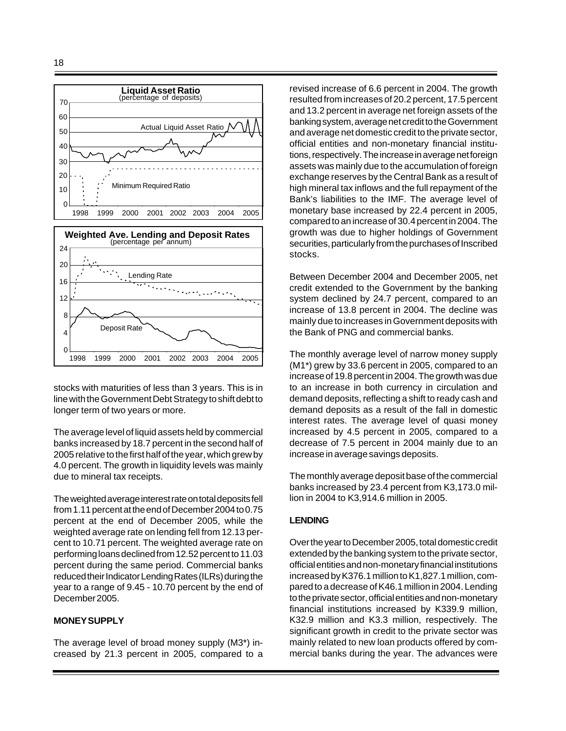

stocks with maturities of less than 3 years. This is in line with the Government Debt Strategy to shift debt to longer term of two years or more.

1998 1999 2000 2001 2002 2003 2004 2005

The average level of liquid assets held by commercial banks increased by 18.7 percent in the second half of 2005 relative to the first half of the year, which grew by 4.0 percent. The growth in liquidity levels was mainly due to mineral tax receipts.

The weighted average interest rate on total deposits fell from 1.11 percent at the end of December 2004 to 0.75 percent at the end of December 2005, while the weighted average rate on lending fell from 12.13 percent to 10.71 percent. The weighted average rate on performing loans declined from 12.52 percent to 11.03 percent during the same period. Commercial banks reduced their Indicator Lending Rates (ILRs) during the year to a range of 9.45 - 10.70 percent by the end of December 2005.

### **MONEY SUPPLY**

The average level of broad money supply (M3\*) increased by 21.3 percent in 2005, compared to a revised increase of 6.6 percent in 2004. The growth resulted from increases of 20.2 percent, 17.5 percent and 13.2 percent in average net foreign assets of the banking system, average net credit to the Government and average net domestic credit to the private sector, official entities and non-monetary financial institutions, respectively. The increase in average net foreign assets was mainly due to the accumulation of foreign exchange reserves by the Central Bank as a result of high mineral tax inflows and the full repayment of the Bank's liabilities to the IMF. The average level of monetary base increased by 22.4 percent in 2005, compared to an increase of 30.4 percent in 2004. The growth was due to higher holdings of Government securities, particularly from the purchases of Inscribed stocks.

Between December 2004 and December 2005, net credit extended to the Government by the banking system declined by 24.7 percent, compared to an increase of 13.8 percent in 2004. The decline was mainly due to increases in Government deposits with the Bank of PNG and commercial banks.

The monthly average level of narrow money supply (M1\*) grew by 33.6 percent in 2005, compared to an increase of 19.8 percent in 2004. The growth was due to an increase in both currency in circulation and demand deposits, reflecting a shift to ready cash and demand deposits as a result of the fall in domestic interest rates. The average level of quasi money increased by 4.5 percent in 2005, compared to a decrease of 7.5 percent in 2004 mainly due to an increase in average savings deposits.

The monthly average deposit base of the commercial banks increased by 23.4 percent from K3,173.0 million in 2004 to K3,914.6 million in 2005.

#### **LENDING**

Over the year to December 2005, total domestic credit extended by the banking system to the private sector, official entities and non-monetary financial institutions increased by K376.1 million to K1,827.1 million, compared to a decrease of K46.1 million in 2004. Lending to the private sector, official entities and non-monetary financial institutions increased by K339.9 million, K32.9 million and K3.3 million, respectively. The significant growth in credit to the private sector was mainly related to new loan products offered by commercial banks during the year. The advances were

 $\Omega$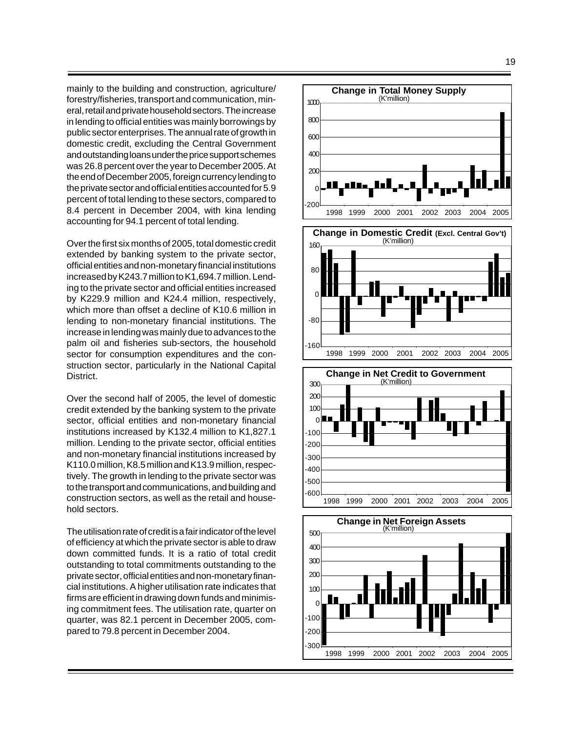mainly to the building and construction, agriculture/ forestry/fisheries, transport and communication, mineral, retail and private household sectors. The increase in lending to official entities was mainly borrowings by public sector enterprises. The annual rate of growth in domestic credit, excluding the Central Government and outstanding loans under the price support schemes was 26.8 percent over the year to December 2005. At the end of December 2005, foreign currency lending to the private sector and official entities accounted for 5.9 percent of total lending to these sectors, compared to 8.4 percent in December 2004, with kina lending accounting for 94.1 percent of total lending.

Over the first six months of 2005, total domestic credit extended by banking system to the private sector, official entities and non-monetary financial institutions increased by K243.7 million to K1,694.7 million. Lending to the private sector and official entities increased by K229.9 million and K24.4 million, respectively, which more than offset a decline of K10.6 million in lending to non-monetary financial institutions. The increase in lending was mainly due to advances to the palm oil and fisheries sub-sectors, the household sector for consumption expenditures and the construction sector, particularly in the National Capital District.

Over the second half of 2005, the level of domestic credit extended by the banking system to the private sector, official entities and non-monetary financial institutions increased by K132.4 million to K1,827.1 million. Lending to the private sector, official entities and non-monetary financial institutions increased by K110.0 million, K8.5 million and K13.9 million, respectively. The growth in lending to the private sector was to the transport and communications, and building and construction sectors, as well as the retail and household sectors.

The utilisation rate of credit is a fair indicator of the level of efficiency at which the private sector is able to draw down committed funds. It is a ratio of total credit outstanding to total commitments outstanding to the private sector, official entities and non-monetary financial institutions. A higher utilisation rate indicates that firms are efficient in drawing down funds and minimising commitment fees. The utilisation rate, quarter on quarter, was 82.1 percent in December 2005, compared to 79.8 percent in December 2004.



-100 -200 1998 1999 2000 2001 2002 2003 2004 2005 -300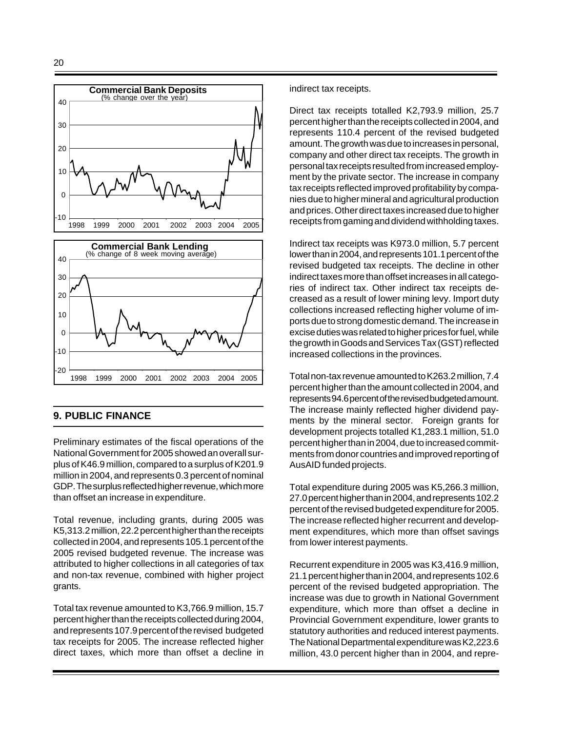

# **9. PUBLIC FINANCE**

Preliminary estimates of the fiscal operations of the National Government for 2005 showed an overall surplus of K46.9 million, compared to a surplus of K201.9 million in 2004, and represents 0.3 percent of nominal GDP. The surplus reflected higher revenue, which more than offset an increase in expenditure.

Total revenue, including grants, during 2005 was K5,313.2 million, 22.2 percent higher than the receipts collected in 2004, and represents 105.1 percent of the 2005 revised budgeted revenue. The increase was attributed to higher collections in all categories of tax and non-tax revenue, combined with higher project grants.

Total tax revenue amounted to K3,766.9 million, 15.7 percent higher than the receipts collected during 2004, and represents 107.9 percent of the revised budgeted tax receipts for 2005. The increase reflected higher direct taxes, which more than offset a decline in indirect tax receipts.

Direct tax receipts totalled K2,793.9 million, 25.7 percent higher than the receipts collected in 2004, and represents 110.4 percent of the revised budgeted amount. The growth was due to increases in personal, company and other direct tax receipts. The growth in personal tax receipts resulted from increased employment by the private sector. The increase in company tax receipts reflected improved profitability by companies due to higher mineral and agricultural production and prices. Other direct taxes increased due to higher receipts from gaming and dividend withholding taxes.

Indirect tax receipts was K973.0 million, 5.7 percent lower than in 2004, and represents 101.1 percent of the revised budgeted tax receipts. The decline in other indirect taxes more than offset increases in all categories of indirect tax. Other indirect tax receipts decreased as a result of lower mining levy. Import duty collections increased reflecting higher volume of imports due to strong domestic demand. The increase in excise duties was related to higher prices for fuel, while the growth in Goods and Services Tax (GST) reflected increased collections in the provinces.

Total non-tax revenue amounted to K263.2 million, 7.4 percent higher than the amount collected in 2004, and represents 94.6 percent of the revised budgeted amount. The increase mainly reflected higher dividend payments by the mineral sector. Foreign grants for development projects totalled K1,283.1 million, 51.0 percent higher than in 2004, due to increased commitments from donor countries and improved reporting of AusAID funded projects.

Total expenditure during 2005 was K5,266.3 million, 27.0 percent higher than in 2004, and represents 102.2 percent of the revised budgeted expenditure for 2005. The increase reflected higher recurrent and development expenditures, which more than offset savings from lower interest payments.

Recurrent expenditure in 2005 was K3,416.9 million, 21.1 percent higher than in 2004, and represents 102.6 percent of the revised budgeted appropriation. The increase was due to growth in National Government expenditure, which more than offset a decline in Provincial Government expenditure, lower grants to statutory authorities and reduced interest payments. The National Departmental expenditure was K2,223.6 million, 43.0 percent higher than in 2004, and repre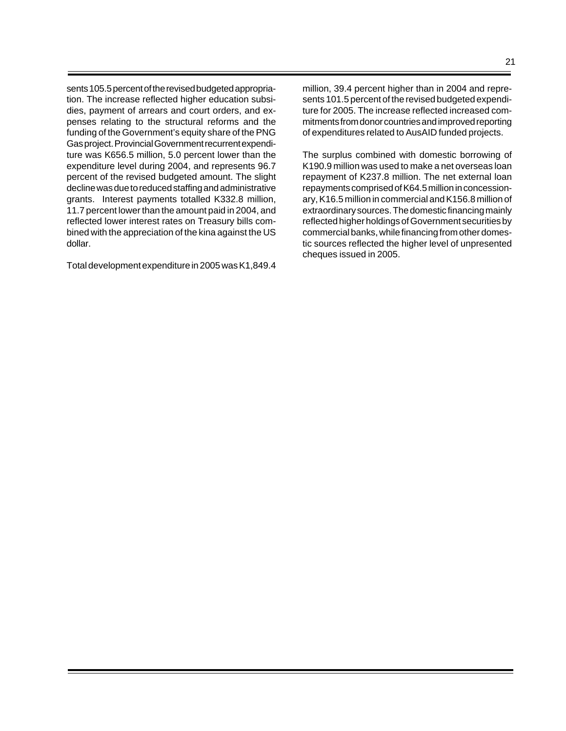sents 105.5 percent of the revised budgeted appropriation. The increase reflected higher education subsidies, payment of arrears and court orders, and expenses relating to the structural reforms and the funding of the Government's equity share of the PNG Gas project. Provincial Government recurrent expenditure was K656.5 million, 5.0 percent lower than the expenditure level during 2004, and represents 96.7 percent of the revised budgeted amount. The slight decline was due to reduced staffing and administrative grants. Interest payments totalled K332.8 million, 11.7 percent lower than the amount paid in 2004, and reflected lower interest rates on Treasury bills combined with the appreciation of the kina against the US dollar.

Total development expenditure in 2005 was K1,849.4

million, 39.4 percent higher than in 2004 and represents 101.5 percent of the revised budgeted expenditure for 2005. The increase reflected increased commitments from donor countries and improved reporting of expenditures related to AusAID funded projects.

The surplus combined with domestic borrowing of K190.9 million was used to make a net overseas loan repayment of K237.8 million. The net external loan repayments comprised of K64.5 million in concessionary, K16.5 million in commercial and K156.8 million of extraordinary sources. The domestic financing mainly reflected higher holdings of Government securities by commercial banks, while financing from other domestic sources reflected the higher level of unpresented cheques issued in 2005.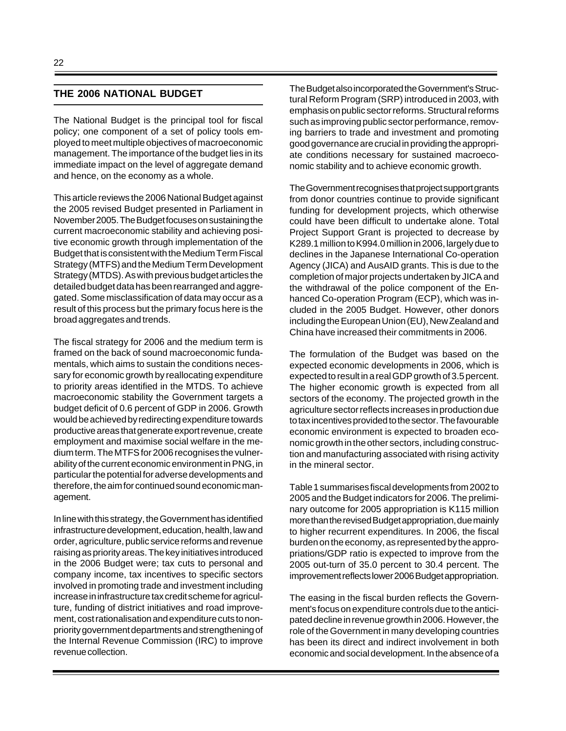### **THE 2006 NATIONAL BUDGET**

The National Budget is the principal tool for fiscal policy; one component of a set of policy tools employed to meet multiple objectives of macroeconomic management. The importance of the budget lies in its immediate impact on the level of aggregate demand and hence, on the economy as a whole.

This article reviews the 2006 National Budget against the 2005 revised Budget presented in Parliament in November 2005. The Budget focuses on sustaining the current macroeconomic stability and achieving positive economic growth through implementation of the Budget that is consistent with the Medium Term Fiscal Strategy (MTFS) and the Medium Term Development Strategy (MTDS). As with previous budget articles the detailed budget data has been rearranged and aggregated. Some misclassification of data may occur as a result of this process but the primary focus here is the broad aggregates and trends.

The fiscal strategy for 2006 and the medium term is framed on the back of sound macroeconomic fundamentals, which aims to sustain the conditions necessary for economic growth by reallocating expenditure to priority areas identified in the MTDS. To achieve macroeconomic stability the Government targets a budget deficit of 0.6 percent of GDP in 2006. Growth would be achieved by redirecting expenditure towards productive areas that generate export revenue, create employment and maximise social welfare in the medium term. The MTFS for 2006 recognises the vulnerability of the current economic environment in PNG, in particular the potential for adverse developments and therefore, the aim for continued sound economic management.

In line with this strategy, the Government has identified infrastructure development, education, health, law and order, agriculture, public service reforms and revenue raising as priority areas. The key initiatives introduced in the 2006 Budget were; tax cuts to personal and company income, tax incentives to specific sectors involved in promoting trade and investment including increase in infrastructure tax credit scheme for agriculture, funding of district initiatives and road improvement, cost rationalisation and expenditure cuts to nonpriority government departments and strengthening of the Internal Revenue Commission (IRC) to improve revenue collection.

The Budget also incorporated the Government's Structural Reform Program (SRP) introduced in 2003, with emphasis on public sector reforms. Structural reforms such as improving public sector performance, removing barriers to trade and investment and promoting good governance are crucial in providing the appropriate conditions necessary for sustained macroeconomic stability and to achieve economic growth.

The Government recognises that project support grants from donor countries continue to provide significant funding for development projects, which otherwise could have been difficult to undertake alone. Total Project Support Grant is projected to decrease by K289.1 million to K994.0 million in 2006, largely due to declines in the Japanese International Co-operation Agency (JICA) and AusAID grants. This is due to the completion of major projects undertaken by JICA and the withdrawal of the police component of the Enhanced Co-operation Program (ECP), which was included in the 2005 Budget. However, other donors including the European Union (EU), New Zealand and China have increased their commitments in 2006.

The formulation of the Budget was based on the expected economic developments in 2006, which is expected to result in a real GDP growth of 3.5 percent. The higher economic growth is expected from all sectors of the economy. The projected growth in the agriculture sector reflects increases in production due to tax incentives provided to the sector. The favourable economic environment is expected to broaden economic growth in the other sectors, including construction and manufacturing associated with rising activity in the mineral sector.

Table 1 summarises fiscal developments from 2002 to 2005 and the Budget indicators for 2006. The preliminary outcome for 2005 appropriation is K115 million more than the revised Budget appropriation, due mainly to higher recurrent expenditures. In 2006, the fiscal burden on the economy, as represented by the appropriations/GDP ratio is expected to improve from the 2005 out-turn of 35.0 percent to 30.4 percent. The improvement reflects lower 2006 Budget appropriation.

The easing in the fiscal burden reflects the Government's focus on expenditure controls due to the anticipated decline in revenue growth in 2006. However, the role of the Government in many developing countries has been its direct and indirect involvement in both economic and social development. In the absence of a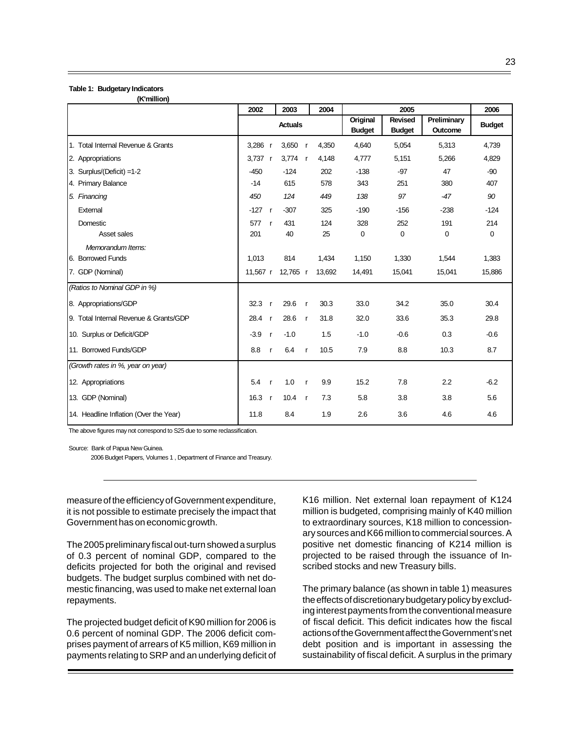#### **Table 1: Budgetary Indicators (K'million)**

|                                        | 2002                   | 2003           |              | 2004   |                           | 2005                            |                        | 2006          |
|----------------------------------------|------------------------|----------------|--------------|--------|---------------------------|---------------------------------|------------------------|---------------|
|                                        |                        | <b>Actuals</b> |              |        | Original<br><b>Budget</b> | <b>Revised</b><br><b>Budget</b> | Preliminary<br>Outcome | <b>Budget</b> |
| 1. Total Internal Revenue & Grants     | $3,286$ r              | 3,650          | $\mathsf{r}$ | 4,350  | 4,640                     | 5,054                           | 5,313                  | 4,739         |
| 2. Appropriations                      | $3.737$ r              | 3,774 $r$      |              | 4,148  | 4,777                     | 5,151                           | 5,266                  | 4,829         |
| 3. Surplus/(Deficit) =1-2              | $-450$                 | $-124$         |              | 202    | $-138$                    | $-97$                           | 47                     | $-90$         |
| 4. Primary Balance                     | $-14$                  | 615            |              | 578    | 343                       | 251                             | 380                    | 407           |
| 5. Financing                           | 450                    | 124            |              | 449    | 138                       | 97                              | $-47$                  | 90            |
| External                               | $-127$<br>$\mathsf{r}$ | $-307$         |              | 325    | $-190$                    | $-156$                          | $-238$                 | $-124$        |
| Domestic                               | 577<br>$\mathbf{r}$    | 431            |              | 124    | 328                       | 252                             | 191                    | 214           |
| Asset sales                            | 201                    | 40             |              | 25     | $\mathbf 0$               | 0                               | $\mathbf 0$            | 0             |
| Memorandum Items:                      |                        |                |              |        |                           |                                 |                        |               |
| 6. Borrowed Funds                      | 1,013                  | 814            |              | 1,434  | 1,150                     | 1,330                           | 1,544                  | 1,383         |
| 7. GDP (Nominal)                       | 11,567 r               | 12,765 r       |              | 13,692 | 14,491                    | 15,041                          | 15,041                 | 15,886        |
| (Ratios to Nominal GDP in %)           |                        |                |              |        |                           |                                 |                        |               |
| 8. Appropriations/GDP                  | 32.3<br>$\mathsf{r}$   | 29.6           | $\mathsf{r}$ | 30.3   | 33.0                      | 34.2                            | 35.0                   | 30.4          |
| 9. Total Internal Revenue & Grants/GDP | 28.4<br>$\mathsf{r}$   | 28.6           | $\mathsf{r}$ | 31.8   | 32.0                      | 33.6                            | 35.3                   | 29.8          |
| 10. Surplus or Deficit/GDP             | $-3.9$<br>$\mathsf{r}$ | $-1.0$         |              | 1.5    | $-1.0$                    | $-0.6$                          | 0.3                    | $-0.6$        |
| 11. Borrowed Funds/GDP                 | 8.8<br>$\mathsf{r}$    | 6.4            | $\mathsf{r}$ | 10.5   | 7.9                       | 8.8                             | 10.3                   | 8.7           |
| (Growth rates in %, year on year)      |                        |                |              |        |                           |                                 |                        |               |
| 12. Appropriations                     | 5.4<br>$\mathsf{r}$    | 1.0            | $\mathsf{r}$ | 9.9    | 15.2                      | 7.8                             | 2.2                    | $-6.2$        |
| 13. GDP (Nominal)                      | 16.3<br>$\mathsf{r}$   | 10.4           | $\mathsf{r}$ | 7.3    | 5.8                       | 3.8                             | 3.8                    | 5.6           |
| 14. Headline Inflation (Over the Year) | 11.8                   | 8.4            |              | 1.9    | 2.6                       | 3.6                             | 4.6                    | 4.6           |

The above figures may not correspond to S25 due to some reclassification.

Source: Bank of Papua New Guinea.

2006 Budget Papers, Volumes 1 , Department of Finance and Treasury.

measure of the efficiency of Government expenditure, it is not possible to estimate precisely the impact that Government has on economic growth.

The 2005 preliminary fiscal out-turn showed a surplus of 0.3 percent of nominal GDP, compared to the deficits projected for both the original and revised budgets. The budget surplus combined with net domestic financing, was used to make net external loan repayments.

The projected budget deficit of K90 million for 2006 is 0.6 percent of nominal GDP. The 2006 deficit comprises payment of arrears of K5 million, K69 million in payments relating to SRP and an underlying deficit of K16 million. Net external loan repayment of K124 million is budgeted, comprising mainly of K40 million to extraordinary sources, K18 million to concessionary sources and K66 million to commercial sources. A positive net domestic financing of K214 million is projected to be raised through the issuance of Inscribed stocks and new Treasury bills.

The primary balance (as shown in table 1) measures the effects of discretionary budgetary policy by excluding interest payments from the conventional measure of fiscal deficit. This deficit indicates how the fiscal actions of the Government affect the Government's net debt position and is important in assessing the sustainability of fiscal deficit. A surplus in the primary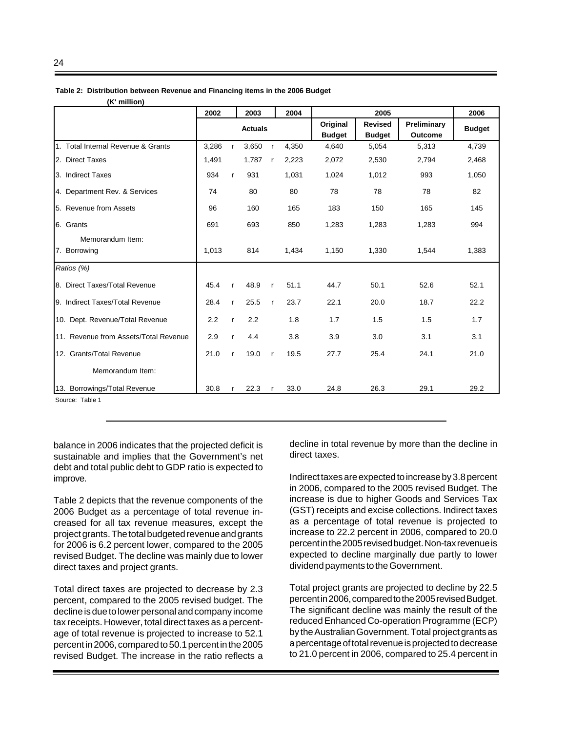|                                       | 2002  |              | 2003           |              | 2004  |               | 2005           |             |               |  |  |
|---------------------------------------|-------|--------------|----------------|--------------|-------|---------------|----------------|-------------|---------------|--|--|
|                                       |       |              | <b>Actuals</b> |              |       | Original      | <b>Revised</b> | Preliminary | <b>Budget</b> |  |  |
|                                       |       |              |                |              |       | <b>Budget</b> | <b>Budget</b>  | Outcome     |               |  |  |
| 1. Total Internal Revenue & Grants    | 3,286 | r            | 3,650          | $\mathsf{r}$ | 4,350 | 4,640         | 5,054          | 5,313       | 4,739         |  |  |
| 2. Direct Taxes                       | 1,491 |              | 1,787          | $\mathsf{r}$ | 2,223 | 2,072         | 2,530          | 2,794       | 2,468         |  |  |
| 3. Indirect Taxes                     | 934   | $\mathsf{r}$ | 931            |              | 1,031 | 1,024         | 1,012          | 993         | 1,050         |  |  |
| 4. Department Rev. & Services         | 74    |              | 80             |              | 80    | 78            | 78             | 78          | 82            |  |  |
| 5. Revenue from Assets                | 96    |              | 160            |              | 165   | 183           | 150            | 165         | 145           |  |  |
| 6. Grants                             | 691   |              | 693            |              | 850   | 1,283         | 1,283          | 1,283       | 994           |  |  |
| Memorandum Item:                      |       |              |                |              |       |               |                |             |               |  |  |
| 7. Borrowing                          | 1,013 |              | 814            |              | 1,434 | 1,150         | 1,330          | 1,544       | 1,383         |  |  |
| Ratios (%)                            |       |              |                |              |       |               |                |             |               |  |  |
| 8. Direct Taxes/Total Revenue         | 45.4  | $\mathsf{r}$ | 48.9           | $\mathbf{r}$ | 51.1  | 44.7          | 50.1           | 52.6        | 52.1          |  |  |
| 9. Indirect Taxes/Total Revenue       | 28.4  | $\mathsf{r}$ | 25.5           | $\mathsf{r}$ | 23.7  | 22.1          | 20.0           | 18.7        | 22.2          |  |  |
| 10. Dept. Revenue/Total Revenue       | 2.2   | $\mathbf{r}$ | 2.2            |              | 1.8   | 1.7           | 1.5            | 1.5         | 1.7           |  |  |
| 11. Revenue from Assets/Total Revenue | 2.9   | $\mathsf{r}$ | 4.4            |              | 3.8   | 3.9           | 3.0            | 3.1         | 3.1           |  |  |
| 12. Grants/Total Revenue              | 21.0  | $\mathsf{r}$ | 19.0           | $\mathsf{r}$ | 19.5  | 27.7          | 25.4           | 24.1        | 21.0          |  |  |
| Memorandum Item:                      |       |              |                |              |       |               |                |             |               |  |  |
| 13. Borrowings/Total Revenue          | 30.8  | $\mathsf{r}$ | 22.3           | $\mathsf{r}$ | 33.0  | 24.8          | 26.3           | 29.1        | 29.2          |  |  |

**Table 2: Distribution between Revenue and Financing items in the 2006 Budget**

**(K' million)**

Source: Table 1

balance in 2006 indicates that the projected deficit is sustainable and implies that the Government's net debt and total public debt to GDP ratio is expected to improve.

Table 2 depicts that the revenue components of the 2006 Budget as a percentage of total revenue increased for all tax revenue measures, except the project grants. The total budgeted revenue and grants for 2006 is 6.2 percent lower, compared to the 2005 revised Budget. The decline was mainly due to lower direct taxes and project grants.

Total direct taxes are projected to decrease by 2.3 percent, compared to the 2005 revised budget. The decline is due to lower personal and company income tax receipts. However, total direct taxes as a percentage of total revenue is projected to increase to 52.1 percent in 2006, compared to 50.1 percent in the 2005 revised Budget. The increase in the ratio reflects a decline in total revenue by more than the decline in direct taxes.

Indirect taxes are expected to increase by 3.8 percent in 2006, compared to the 2005 revised Budget. The increase is due to higher Goods and Services Tax (GST) receipts and excise collections. Indirect taxes as a percentage of total revenue is projected to increase to 22.2 percent in 2006, compared to 20.0 percent in the 2005 revised budget. Non-tax revenue is expected to decline marginally due partly to lower dividend payments to the Government.

Total project grants are projected to decline by 22.5 percent in 2006, compared to the 2005 revised Budget. The significant decline was mainly the result of the reduced Enhanced Co-operation Programme (ECP) by the Australian Government. Total project grants as a percentage of total revenue is projected to decrease to 21.0 percent in 2006, compared to 25.4 percent in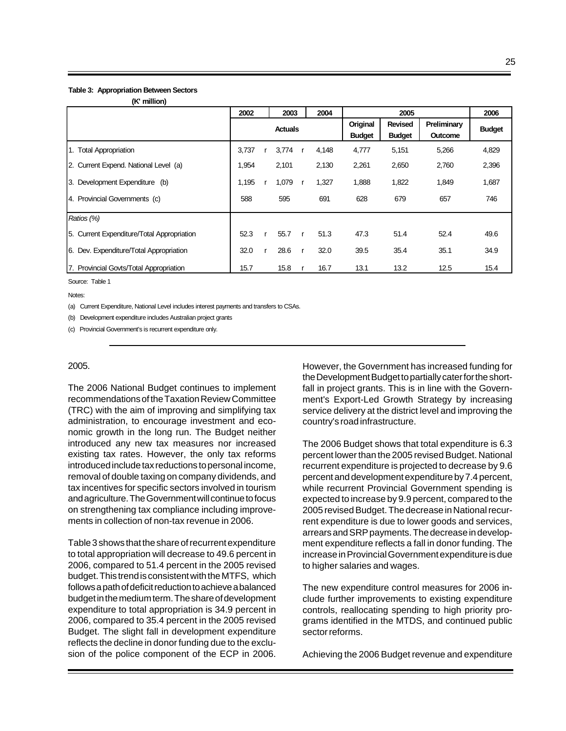#### **Table 3: Appropriation Between Sectors (K' million)**

| (K INIIIION)                               |       |              |                |              |       |                           |                                 |                        |               |
|--------------------------------------------|-------|--------------|----------------|--------------|-------|---------------------------|---------------------------------|------------------------|---------------|
|                                            | 2002  |              | 2003           |              | 2004  |                           | 2005                            |                        | 2006          |
|                                            |       |              | <b>Actuals</b> |              |       | Original<br><b>Budget</b> | <b>Revised</b><br><b>Budget</b> | Preliminary<br>Outcome | <b>Budget</b> |
| 1. Total Appropriation                     | 3,737 |              | 3,774          | <b>r</b>     | 4,148 | 4,777                     | 5,151                           | 5,266                  | 4,829         |
| 2. Current Expend. National Level (a)      | 1,954 |              | 2,101          |              | 2,130 | 2,261                     | 2,650                           | 2,760                  | 2,396         |
| 3. Development Expenditure (b)             | 1,195 | $\mathbf{r}$ | 1,079          |              | 1,327 | 1,888                     | 1,822                           | 1,849                  | 1,687         |
| 4. Provincial Governments (c)              | 588   |              | 595            |              | 691   | 628                       | 679                             | 657                    | 746           |
| Ratios (%)                                 |       |              |                |              |       |                           |                                 |                        |               |
| 5. Current Expenditure/Total Appropriation | 52.3  | r            | 55.7           | $\mathbf{r}$ | 51.3  | 47.3                      | 51.4                            | 52.4                   | 49.6          |
| 6. Dev. Expenditure/Total Appropriation    | 32.0  |              | 28.6           | <b>r</b>     | 32.0  | 39.5                      | 35.4                            | 35.1                   | 34.9          |
| 7. Provincial Govts/Total Appropriation    | 15.7  |              | 15.8           |              | 16.7  | 13.1                      | 13.2                            | 12.5                   | 15.4          |

Source: Table 1

Notes:

(a) Current Expenditure, National Level includes interest payments and transfers to CSAs.

(b) Development expenditure includes Australian project grants

(c) Provincial Government's is recurrent expenditure only.

#### 2005.

The 2006 National Budget continues to implement recommendations of the Taxation Review Committee (TRC) with the aim of improving and simplifying tax administration, to encourage investment and economic growth in the long run. The Budget neither introduced any new tax measures nor increased existing tax rates. However, the only tax reforms introduced include tax reductions to personal income, removal of double taxing on company dividends, and tax incentives for specific sectors involved in tourism and agriculture. The Government will continue to focus on strengthening tax compliance including improvements in collection of non-tax revenue in 2006.

Table 3 shows that the share of recurrent expenditure to total appropriation will decrease to 49.6 percent in 2006, compared to 51.4 percent in the 2005 revised budget. This trend is consistent with the MTFS, which follows a path of deficit reduction to achieve a balanced budget in the medium term. The share of development expenditure to total appropriation is 34.9 percent in 2006, compared to 35.4 percent in the 2005 revised Budget. The slight fall in development expenditure reflects the decline in donor funding due to the exclusion of the police component of the ECP in 2006. However, the Government has increased funding for the Development Budget to partially cater for the shortfall in project grants. This is in line with the Government's Export-Led Growth Strategy by increasing service delivery at the district level and improving the country's road infrastructure.

The 2006 Budget shows that total expenditure is 6.3 percent lower than the 2005 revised Budget. National recurrent expenditure is projected to decrease by 9.6 percent and development expenditure by 7.4 percent, while recurrent Provincial Government spending is expected to increase by 9.9 percent, compared to the 2005 revised Budget. The decrease in National recurrent expenditure is due to lower goods and services, arrears and SRP payments. The decrease in development expenditure reflects a fall in donor funding. The increase in Provincial Government expenditure is due to higher salaries and wages.

The new expenditure control measures for 2006 include further improvements to existing expenditure controls, reallocating spending to high priority programs identified in the MTDS, and continued public sector reforms.

Achieving the 2006 Budget revenue and expenditure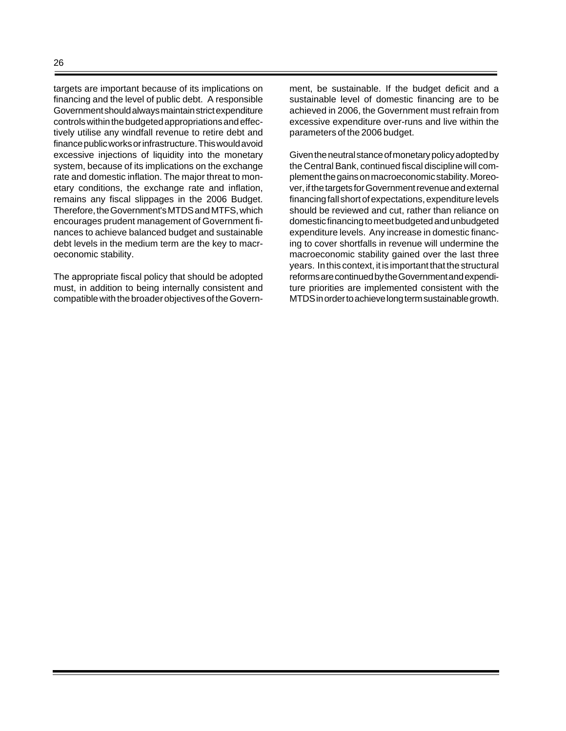targets are important because of its implications on financing and the level of public debt. A responsible Government should always maintain strict expenditure controls within the budgeted appropriations and effectively utilise any windfall revenue to retire debt and finance public works or infrastructure. This would avoid excessive injections of liquidity into the monetary system, because of its implications on the exchange rate and domestic inflation. The major threat to monetary conditions, the exchange rate and inflation, remains any fiscal slippages in the 2006 Budget. Therefore, the Government's MTDS and MTFS, which encourages prudent management of Government finances to achieve balanced budget and sustainable debt levels in the medium term are the key to macroeconomic stability.

The appropriate fiscal policy that should be adopted must, in addition to being internally consistent and compatible with the broader objectives of the Government, be sustainable. If the budget deficit and a sustainable level of domestic financing are to be achieved in 2006, the Government must refrain from excessive expenditure over-runs and live within the parameters of the 2006 budget.

Given the neutral stance of monetary policy adopted by the Central Bank, continued fiscal discipline will complement the gains on macroeconomic stability. Moreover, if the targets for Government revenue and external financing fall short of expectations, expenditure levels should be reviewed and cut, rather than reliance on domestic financing to meet budgeted and unbudgeted expenditure levels. Any increase in domestic financing to cover shortfalls in revenue will undermine the macroeconomic stability gained over the last three years. In this context, it is important that the structural reforms are continued by the Government and expenditure priorities are implemented consistent with the MTDS in order to achieve long term sustainable growth.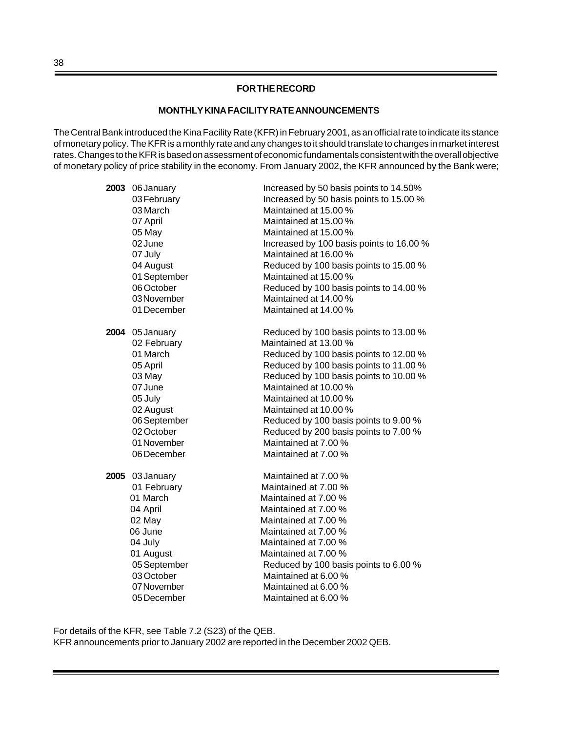#### **FOR THE RECORD**

#### **MONTHLY KINA FACILITY RATE ANNOUNCEMENTS**

The Central Bank introduced the Kina Facility Rate (KFR) in February 2001, as an official rate to indicate its stance of monetary policy. The KFR is a monthly rate and any changes to it should translate to changes in market interest rates. Changes to the KFR is based on assessment of economic fundamentals consistent with the overall objective of monetary policy of price stability in the economy. From January 2002, the KFR announced by the Bank were;

| 2003 06 January | Increased by 50 basis points to 14.50%   |
|-----------------|------------------------------------------|
| 03 February     | Increased by 50 basis points to 15.00 %  |
| 03 March        | Maintained at 15.00 %                    |
| 07 April        | Maintained at 15.00 %                    |
| 05 May          | Maintained at 15.00 %                    |
| 02 June         | Increased by 100 basis points to 16.00 % |
| 07 July         | Maintained at 16.00 %                    |
| 04 August       | Reduced by 100 basis points to 15.00 %   |
| 01 September    | Maintained at 15.00 %                    |
| 06 October      | Reduced by 100 basis points to 14.00 %   |
| 03 November     | Maintained at 14.00 %                    |
| 01 December     | Maintained at 14.00 %                    |
| 2004 05 January | Reduced by 100 basis points to 13.00 %   |
| 02 February     | Maintained at 13.00 %                    |
| 01 March        | Reduced by 100 basis points to 12.00 %   |
| 05 April        | Reduced by 100 basis points to 11.00 %   |
| 03 May          | Reduced by 100 basis points to 10.00 %   |
| 07 June         | Maintained at 10.00 %                    |
| 05 July         | Maintained at 10.00 %                    |
| 02 August       | Maintained at 10.00 %                    |
| 06 September    | Reduced by 100 basis points to 9.00 %    |
| 02 October      | Reduced by 200 basis points to 7.00 %    |
| 01 November     | Maintained at 7.00 %                     |
| 06 December     | Maintained at 7.00 %                     |
| 2005 03 January | Maintained at 7.00 %                     |
| 01 February     | Maintained at 7.00 %                     |
| 01 March        | Maintained at 7.00 %                     |
| 04 April        | Maintained at 7.00 %                     |
| 02 May          | Maintained at 7.00 %                     |
| 06 June         | Maintained at 7.00 %                     |
| 04 July         | Maintained at 7.00 %                     |
| 01 August       | Maintained at 7.00 %                     |
| 05 September    | Reduced by 100 basis points to 6.00 %    |
| 03 October      | Maintained at 6.00 %                     |
| 07 November     | Maintained at 6.00 %                     |
| 05 December     | Maintained at 6.00 %                     |

For details of the KFR, see Table 7.2 (S23) of the QEB. KFR announcements prior to January 2002 are reported in the December 2002 QEB.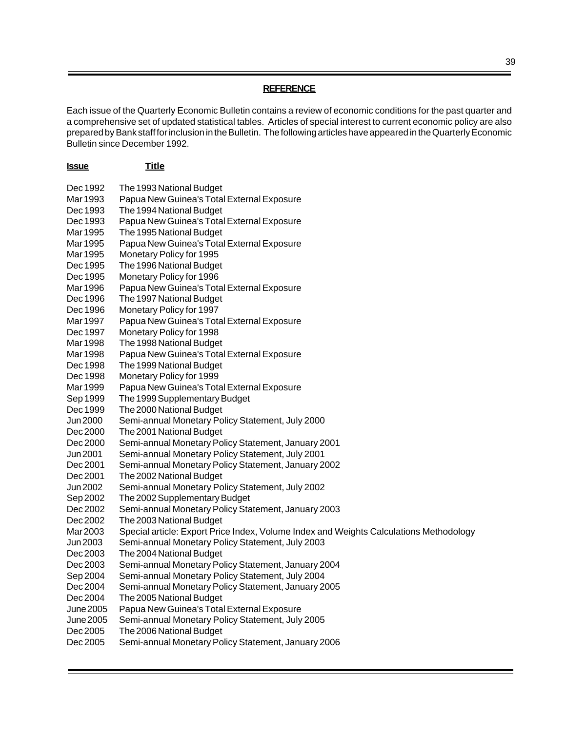### **REFERENCE**

Each issue of the Quarterly Economic Bulletin contains a review of economic conditions for the past quarter and a comprehensive set of updated statistical tables. Articles of special interest to current economic policy are also prepared by Bank staff for inclusion in the Bulletin. The following articles have appeared in the Quarterly Economic Bulletin since December 1992.

| <u>Issue</u> | <b>Title</b>                                                                           |
|--------------|----------------------------------------------------------------------------------------|
| Dec 1992     | The 1993 National Budget                                                               |
| Mar 1993     | Papua New Guinea's Total External Exposure                                             |
| Dec 1993     | The 1994 National Budget                                                               |
| Dec 1993     | Papua New Guinea's Total External Exposure                                             |
| Mar 1995     | The 1995 National Budget                                                               |
| Mar 1995     | Papua New Guinea's Total External Exposure                                             |
| Mar 1995     | Monetary Policy for 1995                                                               |
| Dec 1995     | The 1996 National Budget                                                               |
| Dec 1995     | Monetary Policy for 1996                                                               |
| Mar 1996     | Papua New Guinea's Total External Exposure                                             |
| Dec 1996     | The 1997 National Budget                                                               |
| Dec 1996     | Monetary Policy for 1997                                                               |
| Mar 1997     | Papua New Guinea's Total External Exposure                                             |
| Dec 1997     | Monetary Policy for 1998                                                               |
| Mar 1998     | The 1998 National Budget                                                               |
| Mar 1998     | Papua New Guinea's Total External Exposure                                             |
| Dec 1998     | The 1999 National Budget                                                               |
| Dec 1998     | Monetary Policy for 1999                                                               |
| Mar 1999     | Papua New Guinea's Total External Exposure                                             |
| Sep 1999     | The 1999 Supplementary Budget                                                          |
| Dec 1999     | The 2000 National Budget                                                               |
| Jun 2000     | Semi-annual Monetary Policy Statement, July 2000                                       |
| Dec 2000     | The 2001 National Budget                                                               |
| Dec 2000     | Semi-annual Monetary Policy Statement, January 2001                                    |
| Jun 2001     | Semi-annual Monetary Policy Statement, July 2001                                       |
| Dec 2001     | Semi-annual Monetary Policy Statement, January 2002                                    |
| Dec 2001     | The 2002 National Budget                                                               |
| Jun 2002     | Semi-annual Monetary Policy Statement, July 2002                                       |
| Sep 2002     | The 2002 Supplementary Budget                                                          |
| Dec 2002     | Semi-annual Monetary Policy Statement, January 2003                                    |
| Dec 2002     | The 2003 National Budget                                                               |
| Mar 2003     | Special article: Export Price Index, Volume Index and Weights Calculations Methodology |
| Jun 2003     | Semi-annual Monetary Policy Statement, July 2003                                       |
| Dec 2003     | The 2004 National Budget                                                               |
| Dec 2003     | Semi-annual Monetary Policy Statement, January 2004                                    |
| Sep 2004     | Semi-annual Monetary Policy Statement, July 2004                                       |
| Dec 2004     | Semi-annual Monetary Policy Statement, January 2005                                    |
| Dec 2004     | The 2005 National Budget                                                               |
| June 2005    | Papua New Guinea's Total External Exposure                                             |
| June 2005    | Semi-annual Monetary Policy Statement, July 2005                                       |
| Dec 2005     | The 2006 National Budget                                                               |
| Dec 2005     | Semi-annual Monetary Policy Statement, January 2006                                    |